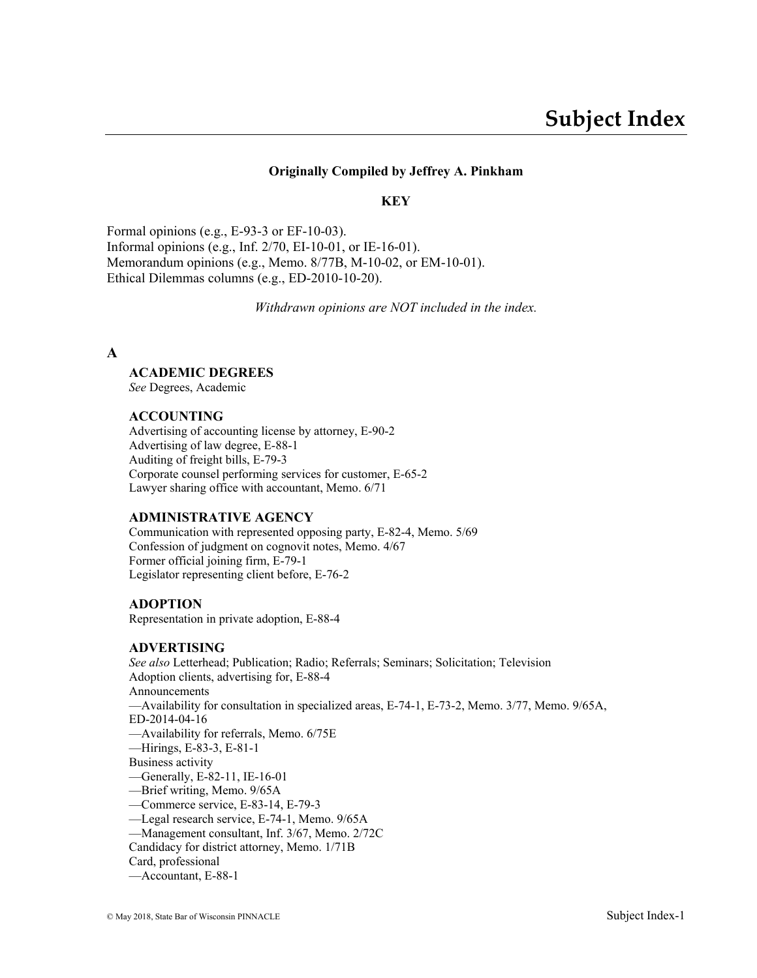### **Originally Compiled by Jeffrey A. Pinkham**

#### **KEY**

Formal opinions (e.g., E-93-3 or EF-10-03). Informal opinions (e.g., Inf. 2/70, EI-10-01, or IE-16-01). Memorandum opinions (e.g., Memo. 8/77B, M-10-02, or EM-10-01). Ethical Dilemmas columns (e.g., ED-2010-10-20).

*Withdrawn opinions are NOT included in the index.*

#### **A**

#### **ACADEMIC DEGREES**

*See* Degrees, Academic

#### **ACCOUNTING**

Advertising of accounting license by attorney, E-90-2 Advertising of law degree, E-88-1 Auditing of freight bills, E-79-3 Corporate counsel performing services for customer, E-65-2 Lawyer sharing office with accountant, Memo. 6/71

#### **ADMINISTRATIVE AGENCY**

Communication with represented opposing party, E-82-4, Memo. 5/69 Confession of judgment on cognovit notes, Memo. 4/67 Former official joining firm, E-79-1 Legislator representing client before, E-76-2

#### **ADOPTION**

Representation in private adoption, E-88-4

#### **ADVERTISING**

*See also* Letterhead; Publication; Radio; Referrals; Seminars; Solicitation; Television Adoption clients, advertising for, E-88-4 Announcements —Availability for consultation in specialized areas, E-74-1, E-73-2, Memo. 3/77, Memo. 9/65A, ED-2014-04-16 —Availability for referrals, Memo. 6/75E —Hirings, E-83-3, E-81-1 Business activity —Generally, E-82-11, IE-16-01 —Brief writing, Memo. 9/65A —Commerce service, E-83-14, E-79-3 —Legal research service, E-74-1, Memo. 9/65A —Management consultant, Inf. 3/67, Memo. 2/72C Candidacy for district attorney, Memo. 1/71B Card, professional

—Accountant, E-88-1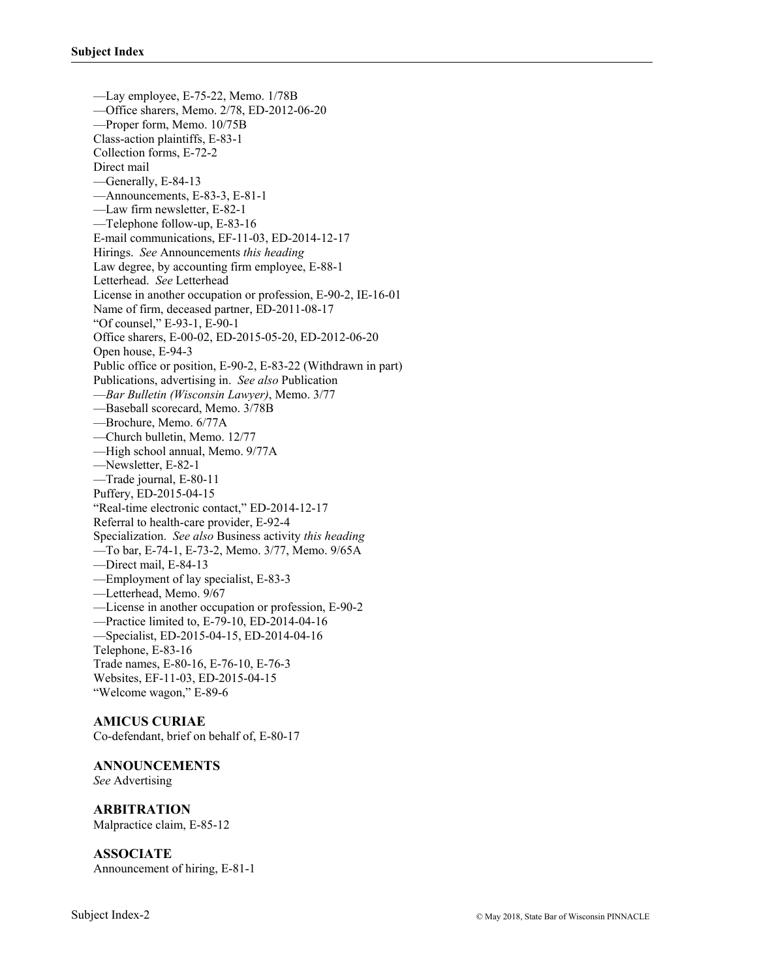—Lay employee, E-75-22, Memo. 1/78B —Office sharers, Memo. 2/78, ED-2012-06-20 —Proper form, Memo. 10/75B Class-action plaintiffs, E-83-1 Collection forms, E-72-2 Direct mail —Generally, E-84-13 —Announcements, E-83-3, E-81-1 —Law firm newsletter, E-82-1 —Telephone follow-up, E-83-16 E-mail communications, EF-11-03, ED-2014-12-17 Hirings. *See* Announcements *this heading* Law degree, by accounting firm employee, E-88-1 Letterhead. *See* Letterhead License in another occupation or profession, E-90-2, IE-16-01 Name of firm, deceased partner, ED-2011-08-17 "Of counsel," E-93-1, E-90-1 Office sharers, E-00-02, ED-2015-05-20, ED-2012-06-20 Open house, E-94-3 Public office or position, E-90-2, E-83-22 (Withdrawn in part) Publications, advertising in. *See also* Publication —*Bar Bulletin (Wisconsin Lawyer)*, Memo. 3/77 —Baseball scorecard, Memo. 3/78B —Brochure, Memo. 6/77A —Church bulletin, Memo. 12/77 —High school annual, Memo. 9/77A —Newsletter, E-82-1 —Trade journal, E-80-11 Puffery, ED-2015-04-15 "Real-time electronic contact," ED-2014-12-17 Referral to health-care provider, E-92-4 Specialization. *See also* Business activity *this heading* —To bar, E-74-1, E-73-2, Memo. 3/77, Memo. 9/65A —Direct mail, E-84-13 —Employment of lay specialist, E-83-3 —Letterhead, Memo. 9/67 —License in another occupation or profession, E-90-2 —Practice limited to, E-79-10, ED-2014-04-16 —Specialist, ED-2015-04-15, ED-2014-04-16 Telephone, E-83-16 Trade names, E-80-16, E-76-10, E-76-3 Websites, EF-11-03, ED-2015-04-15 "Welcome wagon," E-89-6

#### **AMICUS CURIAE**

Co-defendant, brief on behalf of, E-80-17

#### **ANNOUNCEMENTS**

*See* Advertising

### **ARBITRATION**

Malpractice claim, E-85-12

#### **ASSOCIATE**

Announcement of hiring, E-81-1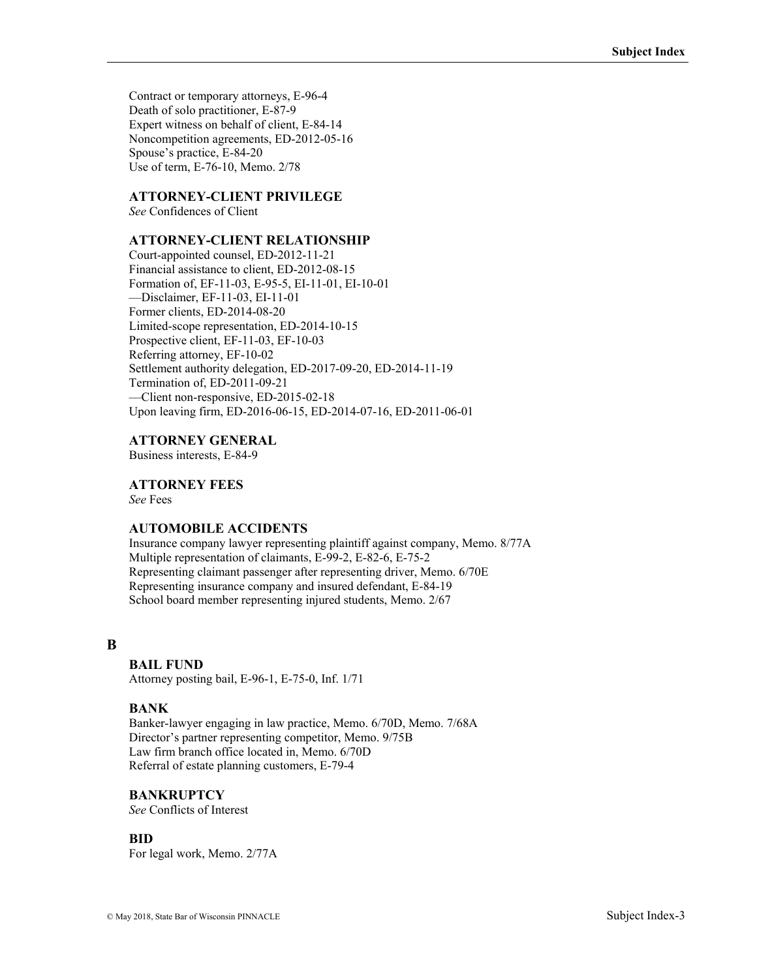Contract or temporary attorneys, E-96-4 Death of solo practitioner, E-87-9 Expert witness on behalf of client, E-84-14 Noncompetition agreements, ED-2012-05-16 Spouse's practice, E-84-20 Use of term, E-76-10, Memo. 2/78

## **ATTORNEY-CLIENT PRIVILEGE**

*See* Confidences of Client

# **ATTORNEY-CLIENT RELATIONSHIP**

Court-appointed counsel, ED-2012-11-21 Financial assistance to client, ED-2012-08-15 Formation of, EF-11-03, E-95-5, EI-11-01, EI-10-01 —Disclaimer, EF-11-03, EI-11-01 Former clients, ED-2014-08-20 Limited-scope representation, ED-2014-10-15 Prospective client, EF-11-03, EF-10-03 Referring attorney, EF-10-02 Settlement authority delegation, ED-2017-09-20, ED-2014-11-19 Termination of, ED-2011-09-21 —Client non-responsive, ED-2015-02-18 Upon leaving firm, ED-2016-06-15, ED-2014-07-16, ED-2011-06-01

### **ATTORNEY GENERAL**

Business interests, E-84-9

# **ATTORNEY FEES**

*See* Fees

### **AUTOMOBILE ACCIDENTS**

Insurance company lawyer representing plaintiff against company, Memo. 8/77A Multiple representation of claimants, E-99-2, E-82-6, E-75-2 Representing claimant passenger after representing driver, Memo. 6/70E Representing insurance company and insured defendant, E-84-19 School board member representing injured students, Memo. 2/67

### **B**

#### **BAIL FUND**

Attorney posting bail, E-96-1, E-75-0, Inf. 1/71

#### **BANK**

Banker-lawyer engaging in law practice, Memo. 6/70D, Memo. 7/68A Director's partner representing competitor, Memo. 9/75B Law firm branch office located in, Memo. 6/70D Referral of estate planning customers, E-79-4

#### **BANKRUPTCY**

*See* Conflicts of Interest

#### **BID**

For legal work, Memo. 2/77A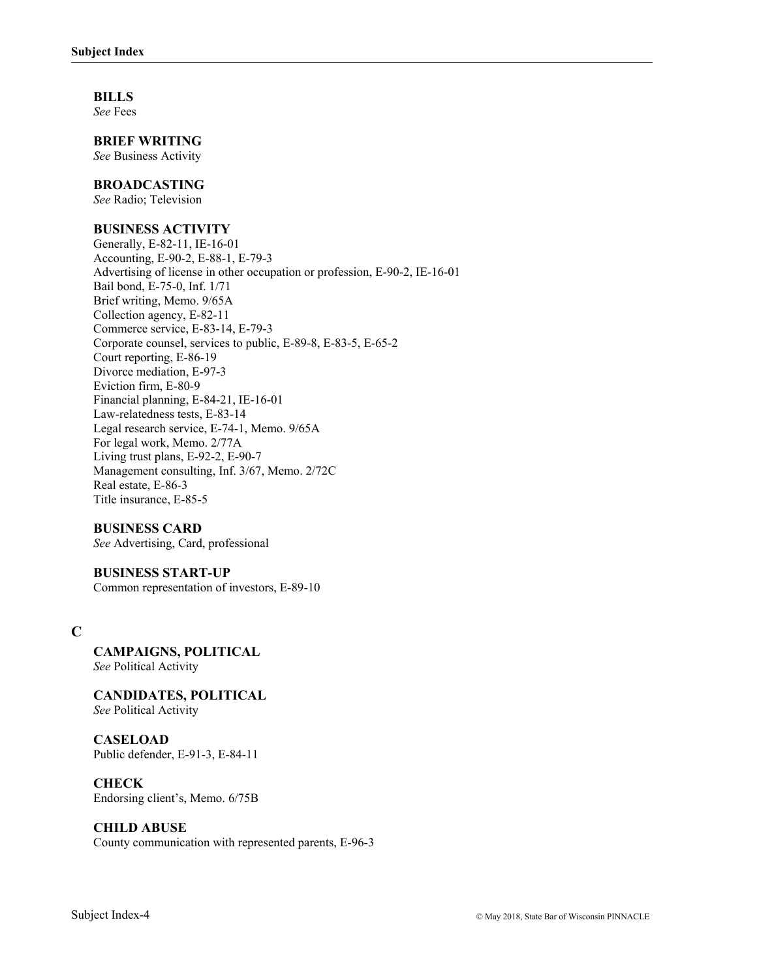**BILLS** 

*See* Fees

**BRIEF WRITING** 

*See* Business Activity

#### **BROADCASTING**

*See* Radio; Television

#### **BUSINESS ACTIVITY**

Generally, E-82-11, IE-16-01 Accounting, E-90-2, E-88-1, E-79-3 Advertising of license in other occupation or profession, E-90-2, IE-16-01 Bail bond, E-75-0, Inf. 1/71 Brief writing, Memo. 9/65A Collection agency, E-82-11 Commerce service, E-83-14, E-79-3 Corporate counsel, services to public, E-89-8, E-83-5, E-65-2 Court reporting, E-86-19 Divorce mediation, E-97-3 Eviction firm, E-80-9 Financial planning, E-84-21, IE-16-01 Law-relatedness tests, E-83-14 Legal research service, E-74-1, Memo. 9/65A For legal work, Memo. 2/77A Living trust plans, E-92-2, E-90-7 Management consulting, Inf. 3/67, Memo. 2/72C Real estate, E-86-3 Title insurance, E-85-5

#### **BUSINESS CARD**

*See* Advertising, Card, professional

#### **BUSINESS START-UP**

Common representation of investors, E-89-10

# **C**

**CAMPAIGNS, POLITICAL**  *See* Political Activity

**CANDIDATES, POLITICAL**  *See* Political Activity

**CASELOAD** Public defender, E-91-3, E-84-11

#### **CHECK**

Endorsing client's, Memo. 6/75B

#### **CHILD ABUSE**

County communication with represented parents, E-96-3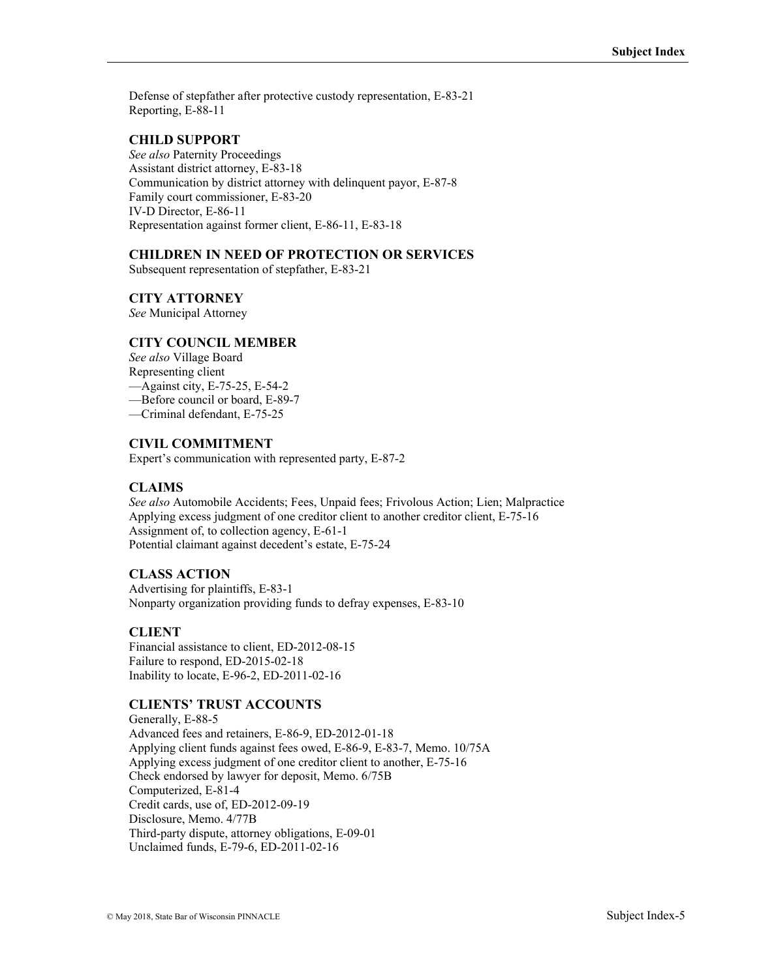Defense of stepfather after protective custody representation, E-83-21 Reporting, E-88-11

## **CHILD SUPPORT**

*See also* Paternity Proceedings Assistant district attorney, E-83-18 Communication by district attorney with delinquent payor, E-87-8 Family court commissioner, E-83-20 IV-D Director, E-86-11 Representation against former client, E-86-11, E-83-18

# **CHILDREN IN NEED OF PROTECTION OR SERVICES**

Subsequent representation of stepfather, E-83-21

### **CITY ATTORNEY**

*See* Municipal Attorney

### **CITY COUNCIL MEMBER**

*See also* Village Board Representing client —Against city, E-75-25, E-54-2 —Before council or board, E-89-7

—Criminal defendant, E-75-25

### **CIVIL COMMITMENT**

Expert's communication with represented party, E-87-2

### **CLAIMS**

*See also* Automobile Accidents; Fees, Unpaid fees; Frivolous Action; Lien; Malpractice Applying excess judgment of one creditor client to another creditor client, E-75-16 Assignment of, to collection agency, E-61-1 Potential claimant against decedent's estate, E-75-24

#### **CLASS ACTION**

Advertising for plaintiffs, E-83-1 Nonparty organization providing funds to defray expenses, E-83-10

### **CLIENT**

Financial assistance to client, ED-2012-08-15 Failure to respond, ED-2015-02-18 Inability to locate, E-96-2, ED-2011-02-16

#### **CLIENTS' TRUST ACCOUNTS**

Generally, E-88-5 Advanced fees and retainers, E-86-9, ED-2012-01-18 Applying client funds against fees owed, E-86-9, E-83-7, Memo. 10/75A Applying excess judgment of one creditor client to another, E-75-16 Check endorsed by lawyer for deposit, Memo. 6/75B Computerized, E-81-4 Credit cards, use of, ED-2012-09-19 Disclosure, Memo. 4/77B Third-party dispute, attorney obligations, E-09-01 Unclaimed funds, E-79-6, ED-2011-02-16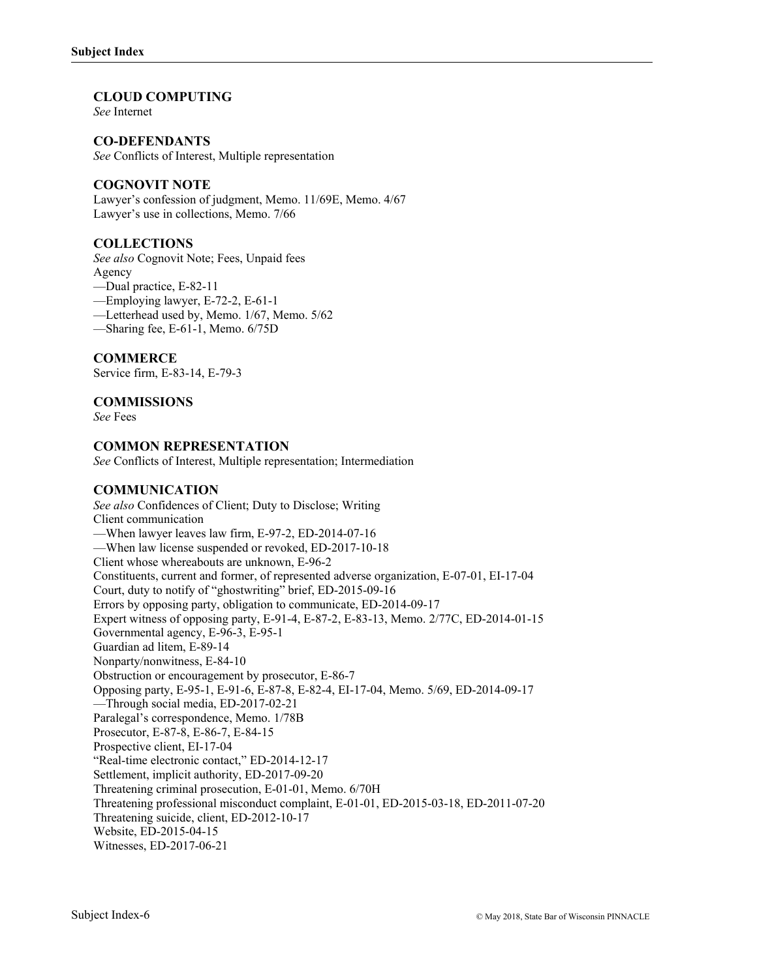#### **CLOUD COMPUTING**

*See* Internet

### **CO-DEFENDANTS**

*See* Conflicts of Interest, Multiple representation

### **COGNOVIT NOTE**

Lawyer's confession of judgment, Memo. 11/69E, Memo. 4/67 Lawyer's use in collections, Memo. 7/66

### **COLLECTIONS**

*See also* Cognovit Note; Fees, Unpaid fees Agency

- —Dual practice, E-82-11
- —Employing lawyer, E-72-2, E-61-1
- —Letterhead used by, Memo. 1/67, Memo. 5/62
- —Sharing fee, E-61-1, Memo. 6/75D

### **COMMERCE**

Service firm, E-83-14, E-79-3

### **COMMISSIONS**

*See* Fees

#### **COMMON REPRESENTATION**

*See* Conflicts of Interest, Multiple representation; Intermediation

#### **COMMUNICATION**

*See also* Confidences of Client; Duty to Disclose; Writing Client communication —When lawyer leaves law firm, E-97-2, ED-2014-07-16 —When law license suspended or revoked, ED-2017-10-18 Client whose whereabouts are unknown, E-96-2 Constituents, current and former, of represented adverse organization, E-07-01, EI-17-04 Court, duty to notify of "ghostwriting" brief, ED-2015-09-16 Errors by opposing party, obligation to communicate, ED-2014-09-17 Expert witness of opposing party, E-91-4, E-87-2, E-83-13, Memo. 2/77C, ED-2014-01-15 Governmental agency, E-96-3, E-95-1 Guardian ad litem, E-89-14 Nonparty/nonwitness, E-84-10 Obstruction or encouragement by prosecutor, E-86-7 Opposing party, E-95-1, E-91-6, E-87-8, E-82-4, EI-17-04, Memo. 5/69, ED-2014-09-17 —Through social media, ED-2017-02-21 Paralegal's correspondence, Memo. 1/78B Prosecutor, E-87-8, E-86-7, E-84-15 Prospective client, EI-17-04 "Real-time electronic contact," ED-2014-12-17 Settlement, implicit authority, ED-2017-09-20 Threatening criminal prosecution, E-01-01, Memo. 6/70H Threatening professional misconduct complaint, E-01-01, ED-2015-03-18, ED-2011-07-20 Threatening suicide, client, ED-2012-10-17 Website, ED-2015-04-15 Witnesses, ED-2017-06-21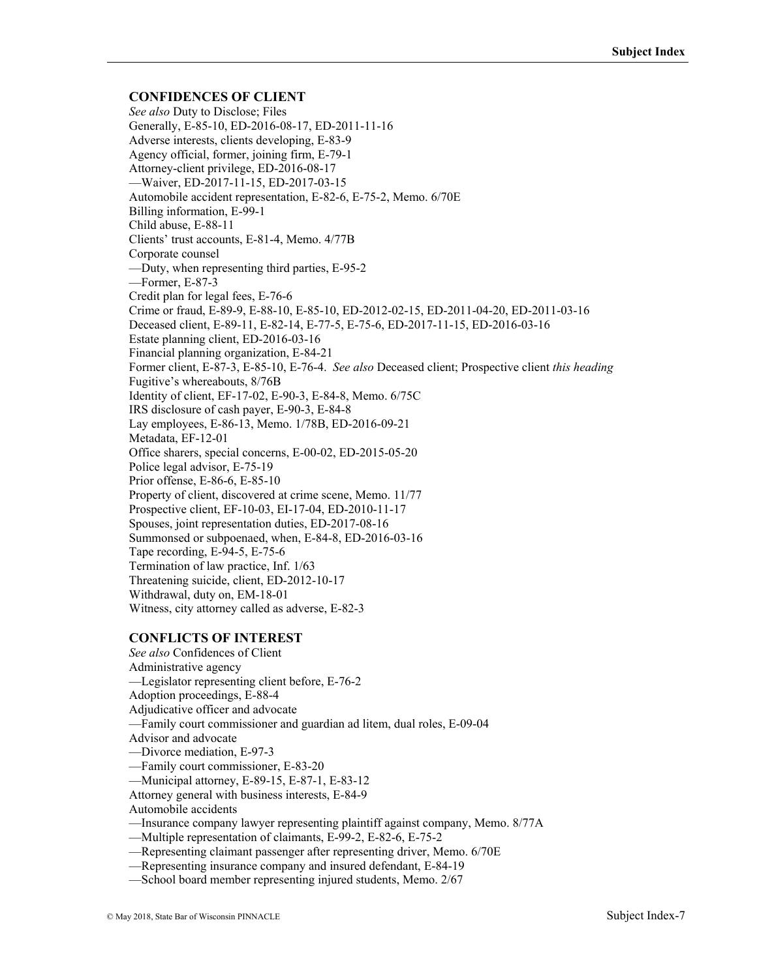### **CONFIDENCES OF CLIENT**

*See also* Duty to Disclose; Files Generally, E-85-10, ED-2016-08-17, ED-2011-11-16 Adverse interests, clients developing, E-83-9 Agency official, former, joining firm, E-79-1 Attorney-client privilege, ED-2016-08-17 —Waiver, ED-2017-11-15, ED-2017-03-15 Automobile accident representation, E-82-6, E-75-2, Memo. 6/70E Billing information, E-99-1 Child abuse, E-88-11 Clients' trust accounts, E-81-4, Memo. 4/77B Corporate counsel —Duty, when representing third parties, E-95-2 —Former, E-87-3 Credit plan for legal fees, E-76-6 Crime or fraud, E-89-9, E-88-10, E-85-10, ED-2012-02-15, ED-2011-04-20, ED-2011-03-16 Deceased client, E-89-11, E-82-14, E-77-5, E-75-6, ED-2017-11-15, ED-2016-03-16 Estate planning client, ED-2016-03-16 Financial planning organization, E-84-21 Former client, E-87-3, E-85-10, E-76-4. *See also* Deceased client; Prospective client *this heading* Fugitive's whereabouts, 8/76B Identity of client, EF-17-02, E-90-3, E-84-8, Memo. 6/75C IRS disclosure of cash payer, E-90-3, E-84-8 Lay employees, E-86-13, Memo. 1/78B, ED-2016-09-21 Metadata, EF-12-01 Office sharers, special concerns, E-00-02, ED-2015-05-20 Police legal advisor, E-75-19 Prior offense, E-86-6, E-85-10 Property of client, discovered at crime scene, Memo. 11/77 Prospective client, EF-10-03, EI-17-04, ED-2010-11-17 Spouses, joint representation duties, ED-2017-08-16 Summonsed or subpoenaed, when, E-84-8, ED-2016-03-16 Tape recording, E-94-5, E-75-6 Termination of law practice, Inf. 1/63 Threatening suicide, client, ED-2012-10-17 Withdrawal, duty on, EM-18-01 Witness, city attorney called as adverse, E-82-3

### **CONFLICTS OF INTEREST**

*See also* Confidences of Client Administrative agency —Legislator representing client before, E-76-2 Adoption proceedings, E-88-4 Adjudicative officer and advocate —Family court commissioner and guardian ad litem, dual roles, E-09-04 Advisor and advocate —Divorce mediation, E-97-3 —Family court commissioner, E-83-20 —Municipal attorney, E-89-15, E-87-1, E-83-12 Attorney general with business interests, E-84-9 Automobile accidents

—Insurance company lawyer representing plaintiff against company, Memo. 8/77A

—Multiple representation of claimants, E-99-2, E-82-6, E-75-2

—Representing claimant passenger after representing driver, Memo. 6/70E

—Representing insurance company and insured defendant, E-84-19

—School board member representing injured students, Memo. 2/67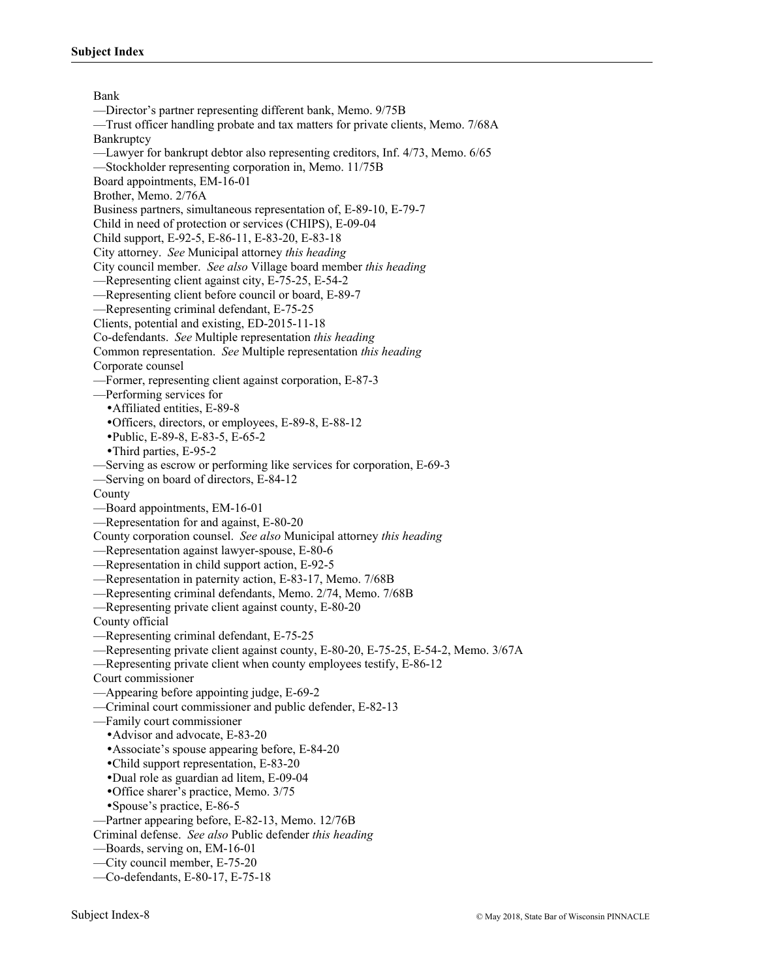Bank —Director's partner representing different bank, Memo. 9/75B —Trust officer handling probate and tax matters for private clients, Memo. 7/68A **Bankruptcy** —Lawyer for bankrupt debtor also representing creditors, Inf. 4/73, Memo. 6/65 —Stockholder representing corporation in, Memo. 11/75B Board appointments, EM-16-01 Brother, Memo. 2/76A Business partners, simultaneous representation of, E-89-10, E-79-7 Child in need of protection or services (CHIPS), E-09-04 Child support, E-92-5, E-86-11, E-83-20, E-83-18 City attorney. *See* Municipal attorney *this heading* City council member. *See also* Village board member *this heading* —Representing client against city, E-75-25, E-54-2 —Representing client before council or board, E-89-7 —Representing criminal defendant, E-75-25 Clients, potential and existing, ED-2015-11-18 Co-defendants. *See* Multiple representation *this heading* Common representation. *See* Multiple representation *this heading* Corporate counsel —Former, representing client against corporation, E-87-3 —Performing services for Affiliated entities, E-89-8 Officers, directors, or employees, E-89-8, E-88-12 Public, E-89-8, E-83-5, E-65-2 Third parties, E-95-2 —Serving as escrow or performing like services for corporation, E-69-3 —Serving on board of directors, E-84-12 County —Board appointments, EM-16-01 —Representation for and against, E-80-20 County corporation counsel. *See also* Municipal attorney *this heading* —Representation against lawyer-spouse, E-80-6 —Representation in child support action, E-92-5 —Representation in paternity action, E-83-17, Memo. 7/68B —Representing criminal defendants, Memo. 2/74, Memo. 7/68B —Representing private client against county, E-80-20 County official —Representing criminal defendant, E-75-25 —Representing private client against county, E-80-20, E-75-25, E-54-2, Memo. 3/67A —Representing private client when county employees testify, E-86-12 Court commissioner —Appearing before appointing judge, E-69-2 —Criminal court commissioner and public defender, E-82-13 —Family court commissioner Advisor and advocate, E-83-20 Associate's spouse appearing before, E-84-20 Child support representation, E-83-20 Dual role as guardian ad litem, E-09-04 Office sharer's practice, Memo. 3/75 Spouse's practice, E-86-5 —Partner appearing before, E-82-13, Memo. 12/76B Criminal defense. *See also* Public defender *this heading* —Boards, serving on, EM-16-01 —City council member, E-75-20 —Co-defendants, E-80-17, E-75-18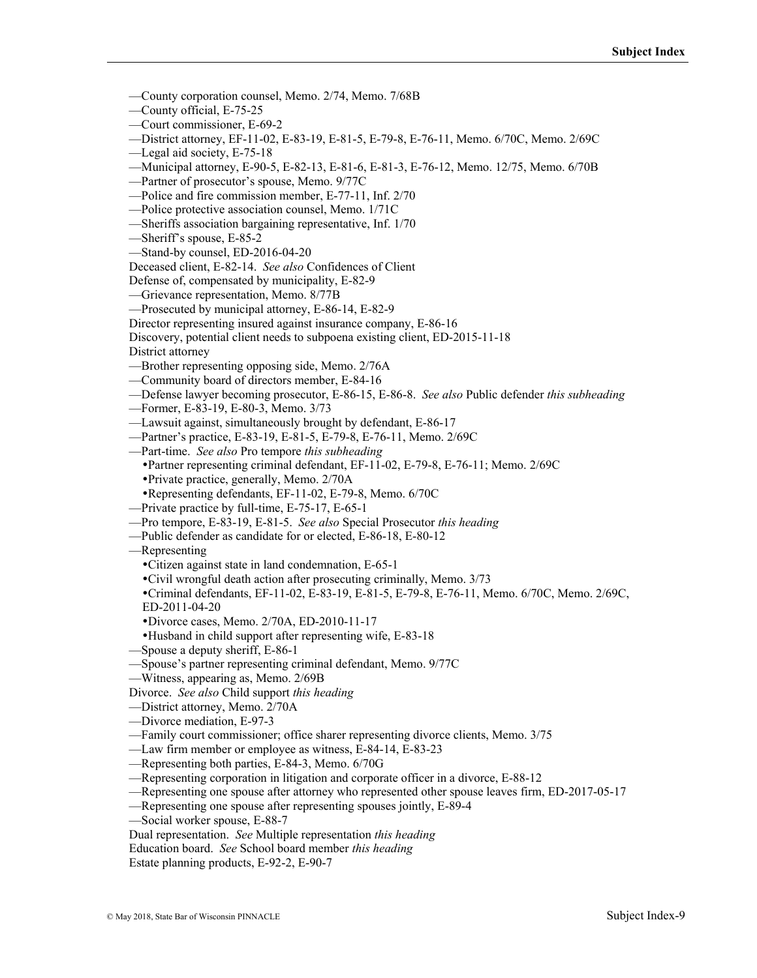- —County corporation counsel, Memo. 2/74, Memo. 7/68B
- —County official, E-75-25
- —Court commissioner, E-69-2
- —District attorney, EF-11-02, E-83-19, E-81-5, E-79-8, E-76-11, Memo. 6/70C, Memo. 2/69C
- —Legal aid society, E-75-18
- —Municipal attorney, E-90-5, E-82-13, E-81-6, E-81-3, E-76-12, Memo. 12/75, Memo. 6/70B
- —Partner of prosecutor's spouse, Memo. 9/77C
- —Police and fire commission member, E-77-11, Inf. 2/70
- —Police protective association counsel, Memo. 1/71C
- —Sheriffs association bargaining representative, Inf. 1/70
- —Sheriff's spouse, E-85-2
- —Stand-by counsel, ED-2016-04-20
- Deceased client, E-82-14. *See also* Confidences of Client
- Defense of, compensated by municipality, E-82-9
- —Grievance representation, Memo. 8/77B
- —Prosecuted by municipal attorney, E-86-14, E-82-9
- Director representing insured against insurance company, E-86-16

Discovery, potential client needs to subpoena existing client, ED-2015-11-18

District attorney

- —Brother representing opposing side, Memo. 2/76A
- —Community board of directors member, E-84-16
- —Defense lawyer becoming prosecutor, E-86-15, E-86-8. *See also* Public defender *this subheading*
- —Former, E-83-19, E-80-3, Memo. 3/73
- —Lawsuit against, simultaneously brought by defendant, E-86-17
- —Partner's practice, E-83-19, E-81-5, E-79-8, E-76-11, Memo. 2/69C
- —Part-time. *See also* Pro tempore *this subheading*
	- Partner representing criminal defendant, EF-11-02, E-79-8, E-76-11; Memo. 2/69C
	- Private practice, generally, Memo. 2/70A
	- Representing defendants, EF-11-02, E-79-8, Memo. 6/70C
- —Private practice by full-time, E-75-17, E-65-1
- —Pro tempore, E-83-19, E-81-5. *See also* Special Prosecutor *this heading*
- —Public defender as candidate for or elected, E-86-18, E-80-12
- —Representing
- Citizen against state in land condemnation, E-65-1
- Civil wrongful death action after prosecuting criminally, Memo. 3/73
- Criminal defendants, EF-11-02, E-83-19, E-81-5, E-79-8, E-76-11, Memo. 6/70C, Memo. 2/69C, ED-2011-04-20
- Divorce cases, Memo. 2/70A, ED-2010-11-17
- Husband in child support after representing wife, E-83-18
- —Spouse a deputy sheriff, E-86-1
- —Spouse's partner representing criminal defendant, Memo. 9/77C
- —Witness, appearing as, Memo. 2/69B
- Divorce. *See also* Child support *this heading*
- —District attorney, Memo. 2/70A
- —Divorce mediation, E-97-3
- —Family court commissioner; office sharer representing divorce clients, Memo. 3/75
- —Law firm member or employee as witness, E-84-14, E-83-23
- —Representing both parties, E-84-3, Memo. 6/70G
- —Representing corporation in litigation and corporate officer in a divorce, E-88-12
- —Representing one spouse after attorney who represented other spouse leaves firm, ED-2017-05-17
- —Representing one spouse after representing spouses jointly, E-89-4
- —Social worker spouse, E-88-7
- Dual representation. *See* Multiple representation *this heading*
- Education board. *See* School board member *this heading*
- Estate planning products, E-92-2, E-90-7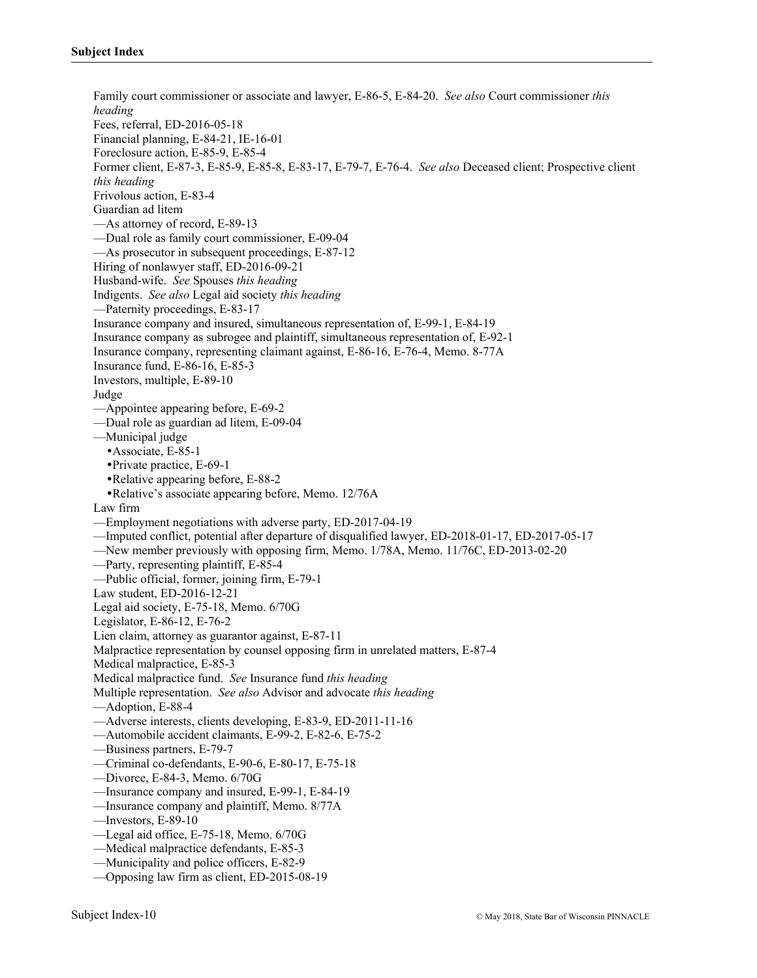Family court commissioner or associate and lawyer, E-86-5, E-84-20. *See also* Court commissioner *this heading* Fees, referral, ED-2016-05-18 Financial planning, E-84-21, IE-16-01 Foreclosure action, E-85-9, E-85-4 Former client, E-87-3, E-85-9, E-85-8, E-83-17, E-79-7, E-76-4. *See also* Deceased client; Prospective client *this heading* Frivolous action, E-83-4 Guardian ad litem —As attorney of record, E-89-13 —Dual role as family court commissioner, E-09-04 —As prosecutor in subsequent proceedings, E-87-12 Hiring of nonlawyer staff, ED-2016-09-21 Husband-wife. *See* Spouses *this heading* Indigents. *See also* Legal aid society *this heading* —Paternity proceedings, E-83-17 Insurance company and insured, simultaneous representation of, E-99-1, E-84-19 Insurance company as subrogee and plaintiff, simultaneous representation of, E-92-1 Insurance company, representing claimant against, E-86-16, E-76-4, Memo. 8-77A Insurance fund, E-86-16, E-85-3 Investors, multiple, E-89-10 Judge —Appointee appearing before, E-69-2 —Dual role as guardian ad litem, E-09-04 —Municipal judge Associate, E-85-1 Private practice, E-69-1 Relative appearing before, E-88-2 Relative's associate appearing before, Memo. 12/76A Law firm —Employment negotiations with adverse party, ED-2017-04-19 —Imputed conflict, potential after departure of disqualified lawyer, ED-2018-01-17, ED-2017-05-17 —New member previously with opposing firm, Memo. 1/78A, Memo. 11/76C, ED-2013-02-20 —Party, representing plaintiff, E-85-4 —Public official, former, joining firm, E-79-1 Law student, ED-2016-12-21 Legal aid society, E-75-18, Memo. 6/70G Legislator, E-86-12, E-76-2 Lien claim, attorney as guarantor against, E-87-11 Malpractice representation by counsel opposing firm in unrelated matters, E-87-4 Medical malpractice, E-85-3 Medical malpractice fund. *See* Insurance fund *this heading* Multiple representation. *See also* Advisor and advocate *this heading* —Adoption, E-88-4 —Adverse interests, clients developing, E-83-9, ED-2011-11-16 —Automobile accident claimants, E-99-2, E-82-6, E-75-2 —Business partners, E-79-7 —Criminal co-defendants, E-90-6, E-80-17, E-75-18 —Divorce, E-84-3, Memo. 6/70G —Insurance company and insured, E-99-1, E-84-19 —Insurance company and plaintiff, Memo. 8/77A —Investors, E-89-10 —Legal aid office, E-75-18, Memo. 6/70G —Medical malpractice defendants, E-85-3 —Municipality and police officers, E-82-9 —Opposing law firm as client, ED-2015-08-19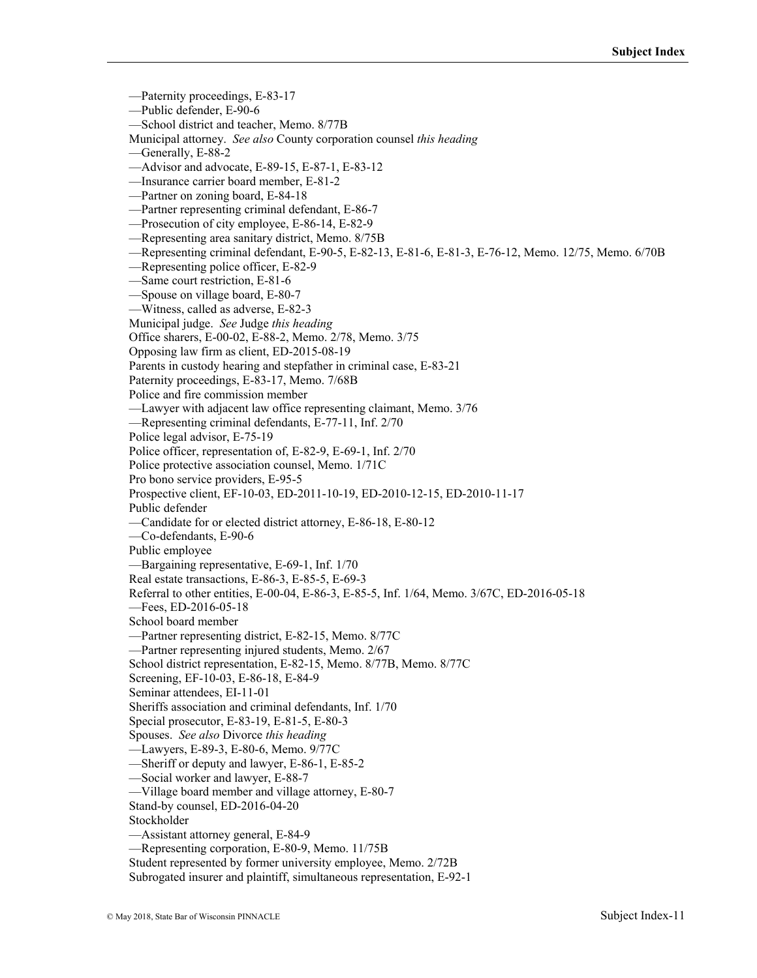—Paternity proceedings, E-83-17 —Public defender, E-90-6 —School district and teacher, Memo. 8/77B Municipal attorney. *See also* County corporation counsel *this heading* —Generally, E-88-2 —Advisor and advocate, E-89-15, E-87-1, E-83-12 —Insurance carrier board member, E-81-2 —Partner on zoning board, E-84-18 —Partner representing criminal defendant, E-86-7 —Prosecution of city employee, E-86-14, E-82-9 —Representing area sanitary district, Memo. 8/75B —Representing criminal defendant, E-90-5, E-82-13, E-81-6, E-81-3, E-76-12, Memo. 12/75, Memo. 6/70B —Representing police officer, E-82-9 —Same court restriction, E-81-6 —Spouse on village board, E-80-7 —Witness, called as adverse, E-82-3 Municipal judge. *See* Judge *this heading* Office sharers, E-00-02, E-88-2, Memo. 2/78, Memo. 3/75 Opposing law firm as client, ED-2015-08-19 Parents in custody hearing and stepfather in criminal case, E-83-21 Paternity proceedings, E-83-17, Memo. 7/68B Police and fire commission member —Lawyer with adjacent law office representing claimant, Memo. 3/76 —Representing criminal defendants, E-77-11, Inf. 2/70 Police legal advisor, E-75-19 Police officer, representation of, E-82-9, E-69-1, Inf. 2/70 Police protective association counsel, Memo. 1/71C Pro bono service providers, E-95-5 Prospective client, EF-10-03, ED-2011-10-19, ED-2010-12-15, ED-2010-11-17 Public defender —Candidate for or elected district attorney, E-86-18, E-80-12 —Co-defendants, E-90-6 Public employee —Bargaining representative, E-69-1, Inf. 1/70 Real estate transactions, E-86-3, E-85-5, E-69-3 Referral to other entities, E-00-04, E-86-3, E-85-5, Inf. 1/64, Memo. 3/67C, ED-2016-05-18 —Fees, ED-2016-05-18 School board member —Partner representing district, E-82-15, Memo. 8/77C —Partner representing injured students, Memo. 2/67 School district representation, E-82-15, Memo. 8/77B, Memo. 8/77C Screening, EF-10-03, E-86-18, E-84-9 Seminar attendees, EI-11-01 Sheriffs association and criminal defendants, Inf. 1/70 Special prosecutor, E-83-19, E-81-5, E-80-3 Spouses. *See also* Divorce *this heading* —Lawyers, E-89-3, E-80-6, Memo. 9/77C —Sheriff or deputy and lawyer, E-86-1, E-85-2 —Social worker and lawyer, E-88-7 —Village board member and village attorney, E-80-7 Stand-by counsel, ED-2016-04-20 Stockholder —Assistant attorney general, E-84-9 —Representing corporation, E-80-9, Memo. 11/75B Student represented by former university employee, Memo. 2/72B Subrogated insurer and plaintiff, simultaneous representation, E-92-1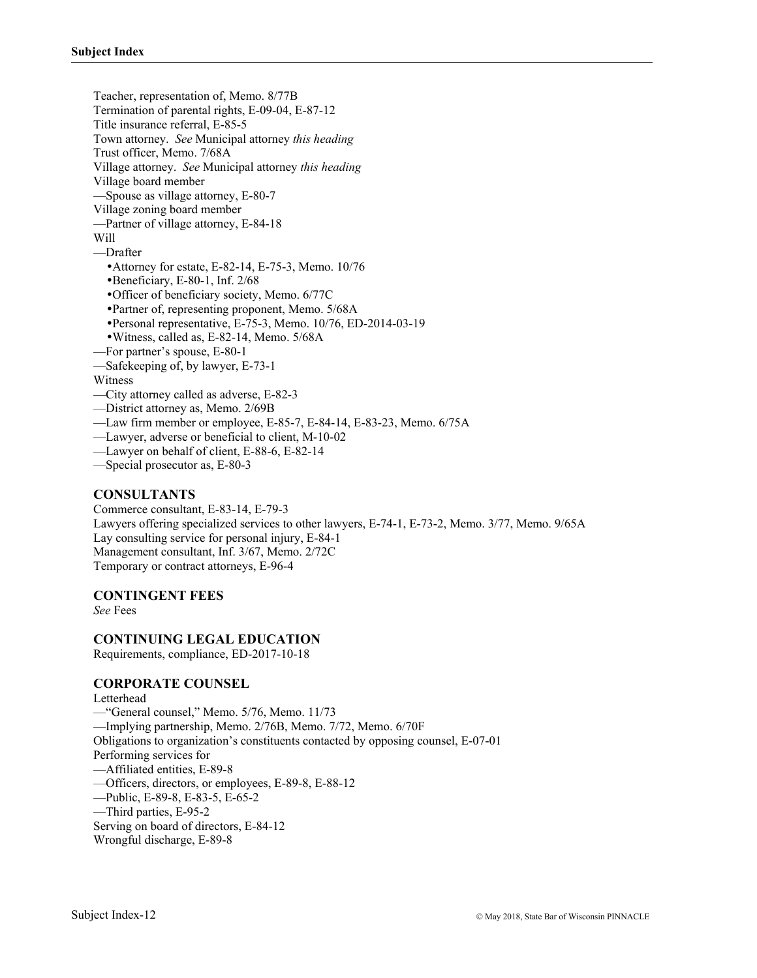Teacher, representation of, Memo. 8/77B Termination of parental rights, E-09-04, E-87-12 Title insurance referral, E-85-5 Town attorney. *See* Municipal attorney *this heading* Trust officer, Memo. 7/68A Village attorney. *See* Municipal attorney *this heading* Village board member —Spouse as village attorney, E-80-7 Village zoning board member —Partner of village attorney, E-84-18 Will —Drafter Attorney for estate, E-82-14, E-75-3, Memo. 10/76 Beneficiary, E-80-1, Inf. 2/68 Officer of beneficiary society, Memo. 6/77C Partner of, representing proponent, Memo. 5/68A Personal representative, E-75-3, Memo. 10/76, ED-2014-03-19 Witness, called as, E-82-14, Memo. 5/68A —For partner's spouse, E-80-1 —Safekeeping of, by lawyer, E-73-1 Witness —City attorney called as adverse, E-82-3 —District attorney as, Memo. 2/69B —Law firm member or employee, E-85-7, E-84-14, E-83-23, Memo. 6/75A —Lawyer, adverse or beneficial to client, M-10-02 —Lawyer on behalf of client, E-88-6, E-82-14 —Special prosecutor as, E-80-3

#### **CONSULTANTS**

Commerce consultant, E-83-14, E-79-3 Lawyers offering specialized services to other lawyers, E-74-1, E-73-2, Memo. 3/77, Memo. 9/65A Lay consulting service for personal injury, E-84-1 Management consultant, Inf. 3/67, Memo. 2/72C Temporary or contract attorneys, E-96-4

#### **CONTINGENT FEES**

*See* Fees

#### **CONTINUING LEGAL EDUCATION**

Requirements, compliance, ED-2017-10-18

#### **CORPORATE COUNSEL**

Letterhead

—"General counsel," Memo. 5/76, Memo. 11/73 —Implying partnership, Memo. 2/76B, Memo. 7/72, Memo. 6/70F Obligations to organization's constituents contacted by opposing counsel, E-07-01 Performing services for —Affiliated entities, E-89-8 —Officers, directors, or employees, E-89-8, E-88-12 —Public, E-89-8, E-83-5, E-65-2 —Third parties, E-95-2 Serving on board of directors, E-84-12 Wrongful discharge, E-89-8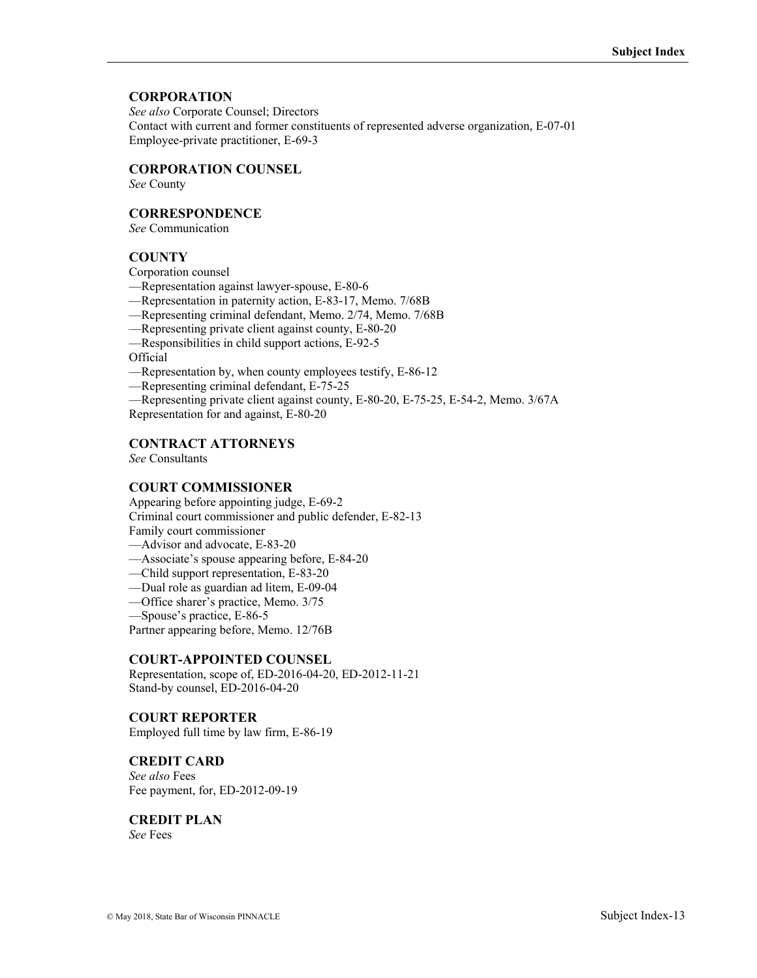### **CORPORATION**

*See also* Corporate Counsel; Directors Contact with current and former constituents of represented adverse organization, E-07-01 Employee-private practitioner, E-69-3

### **CORPORATION COUNSEL**

*See* County

### **CORRESPONDENCE**

*See* Communication

### **COUNTY**

Corporation counsel

- —Representation against lawyer-spouse, E-80-6
- —Representation in paternity action, E-83-17, Memo. 7/68B
- —Representing criminal defendant, Memo. 2/74, Memo. 7/68B
- —Representing private client against county, E-80-20
- —Responsibilities in child support actions, E-92-5

Official

- —Representation by, when county employees testify, E-86-12
- —Representing criminal defendant, E-75-25
- —Representing private client against county, E-80-20, E-75-25, E-54-2, Memo. 3/67A

Representation for and against, E-80-20

### **CONTRACT ATTORNEYS**

*See* Consultants

#### **COURT COMMISSIONER**

Appearing before appointing judge, E-69-2 Criminal court commissioner and public defender, E-82-13 Family court commissioner

- —Advisor and advocate, E-83-20
- —Associate's spouse appearing before, E-84-20
- —Child support representation, E-83-20
- —Dual role as guardian ad litem, E-09-04
- —Office sharer's practice, Memo. 3/75
- —Spouse's practice, E-86-5

Partner appearing before, Memo. 12/76B

#### **COURT-APPOINTED COUNSEL**

Representation, scope of, ED-2016-04-20, ED-2012-11-21 Stand-by counsel, ED-2016-04-20

# **COURT REPORTER**

Employed full time by law firm, E-86-19

# **CREDIT CARD**

*See also* Fees Fee payment, for, ED-2012-09-19

**CREDIT PLAN**  *See* Fees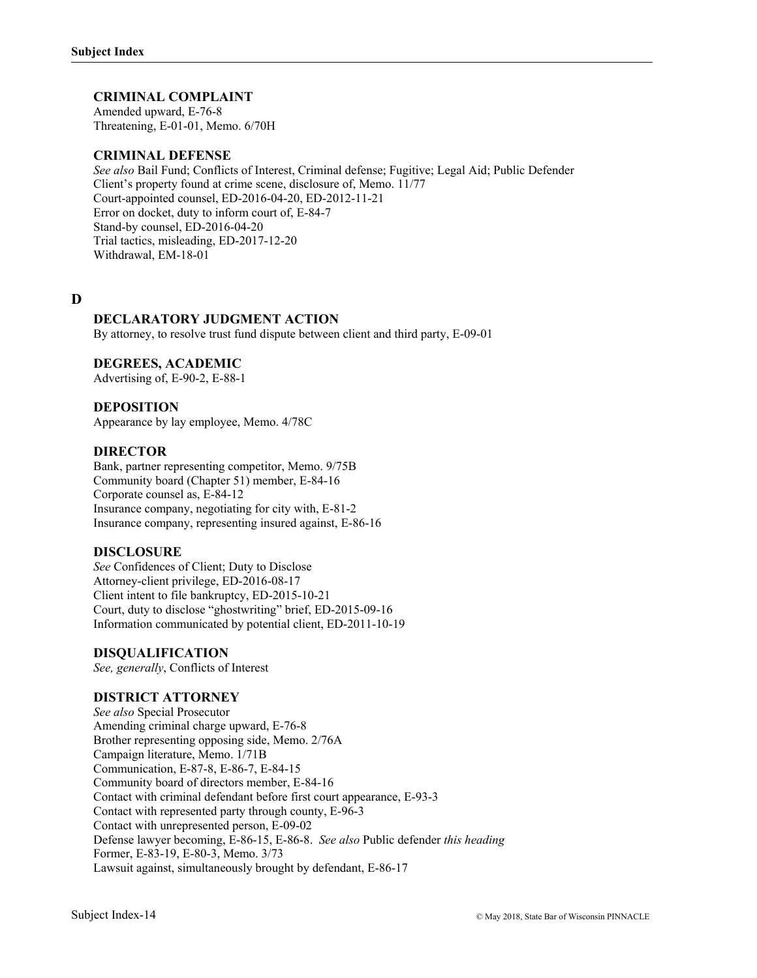### **CRIMINAL COMPLAINT**

Amended upward, E-76-8 Threatening, E-01-01, Memo. 6/70H

### **CRIMINAL DEFENSE**

*See also* Bail Fund; Conflicts of Interest, Criminal defense; Fugitive; Legal Aid; Public Defender Client's property found at crime scene, disclosure of, Memo. 11/77 Court-appointed counsel, ED-2016-04-20, ED-2012-11-21 Error on docket, duty to inform court of, E-84-7 Stand-by counsel, ED-2016-04-20 Trial tactics, misleading, ED-2017-12-20 Withdrawal, EM-18-01

# **D**

### **DECLARATORY JUDGMENT ACTION**

By attorney, to resolve trust fund dispute between client and third party, E-09-01

### **DEGREES, ACADEMIC**

Advertising of, E-90-2, E-88-1

### **DEPOSITION**

Appearance by lay employee, Memo. 4/78C

#### **DIRECTOR**

Bank, partner representing competitor, Memo. 9/75B Community board (Chapter 51) member, E-84-16 Corporate counsel as, E-84-12 Insurance company, negotiating for city with, E-81-2 Insurance company, representing insured against, E-86-16

#### **DISCLOSURE**

*See* Confidences of Client; Duty to Disclose Attorney-client privilege, ED-2016-08-17 Client intent to file bankruptcy, ED-2015-10-21 Court, duty to disclose "ghostwriting" brief, ED-2015-09-16 Information communicated by potential client, ED-2011-10-19

#### **DISQUALIFICATION**

*See, generally*, Conflicts of Interest

#### **DISTRICT ATTORNEY**

*See also* Special Prosecutor Amending criminal charge upward, E-76-8 Brother representing opposing side, Memo. 2/76A Campaign literature, Memo. 1/71B Communication, E-87-8, E-86-7, E-84-15 Community board of directors member, E-84-16 Contact with criminal defendant before first court appearance, E-93-3 Contact with represented party through county, E-96-3 Contact with unrepresented person, E-09-02 Defense lawyer becoming, E-86-15, E-86-8. *See also* Public defender *this heading* Former, E-83-19, E-80-3, Memo. 3/73 Lawsuit against, simultaneously brought by defendant, E-86-17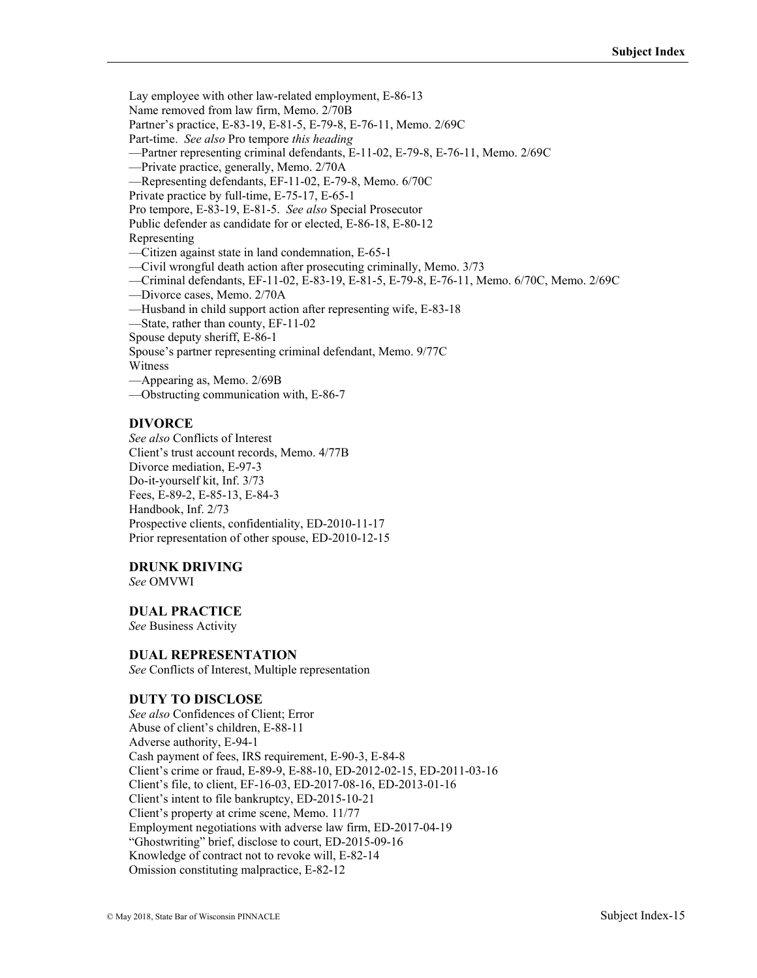Lay employee with other law-related employment, E-86-13

Name removed from law firm, Memo. 2/70B

Partner's practice, E-83-19, E-81-5, E-79-8, E-76-11, Memo. 2/69C

Part-time. *See also* Pro tempore *this heading*

—Partner representing criminal defendants, E-11-02, E-79-8, E-76-11, Memo. 2/69C

—Private practice, generally, Memo. 2/70A

—Representing defendants, EF-11-02, E-79-8, Memo. 6/70C

Private practice by full-time, E-75-17, E-65-1

Pro tempore, E-83-19, E-81-5. *See also* Special Prosecutor

Public defender as candidate for or elected, E-86-18, E-80-12

Representing

—Citizen against state in land condemnation, E-65-1

—Civil wrongful death action after prosecuting criminally, Memo. 3/73

—Criminal defendants, EF-11-02, E-83-19, E-81-5, E-79-8, E-76-11, Memo. 6/70C, Memo. 2/69C

—Divorce cases, Memo. 2/70A

—Husband in child support action after representing wife, E-83-18

—State, rather than county, EF-11-02

Spouse deputy sheriff, E-86-1

Spouse's partner representing criminal defendant, Memo. 9/77C

Witness

—Appearing as, Memo. 2/69B

—Obstructing communication with, E-86-7

### **DIVORCE**

*See also* Conflicts of Interest Client's trust account records, Memo. 4/77B Divorce mediation, E-97-3 Do-it-yourself kit, Inf. 3/73 Fees, E-89-2, E-85-13, E-84-3 Handbook, Inf. 2/73 Prospective clients, confidentiality, ED-2010-11-17 Prior representation of other spouse, ED-2010-12-15

### **DRUNK DRIVING**

*See* OMVWI

# **DUAL PRACTICE**

*See* Business Activity

#### **DUAL REPRESENTATION**

*See* Conflicts of Interest, Multiple representation

### **DUTY TO DISCLOSE**

*See also* Confidences of Client; Error Abuse of client's children, E-88-11 Adverse authority, E-94-1 Cash payment of fees, IRS requirement, E-90-3, E-84-8 Client's crime or fraud, E-89-9, E-88-10, ED-2012-02-15, ED-2011-03-16 Client's file, to client, EF-16-03, ED-2017-08-16, ED-2013-01-16 Client's intent to file bankruptcy, ED-2015-10-21 Client's property at crime scene, Memo. 11/77 Employment negotiations with adverse law firm, ED-2017-04-19 "Ghostwriting" brief, disclose to court, ED-2015-09-16 Knowledge of contract not to revoke will, E-82-14 Omission constituting malpractice, E-82-12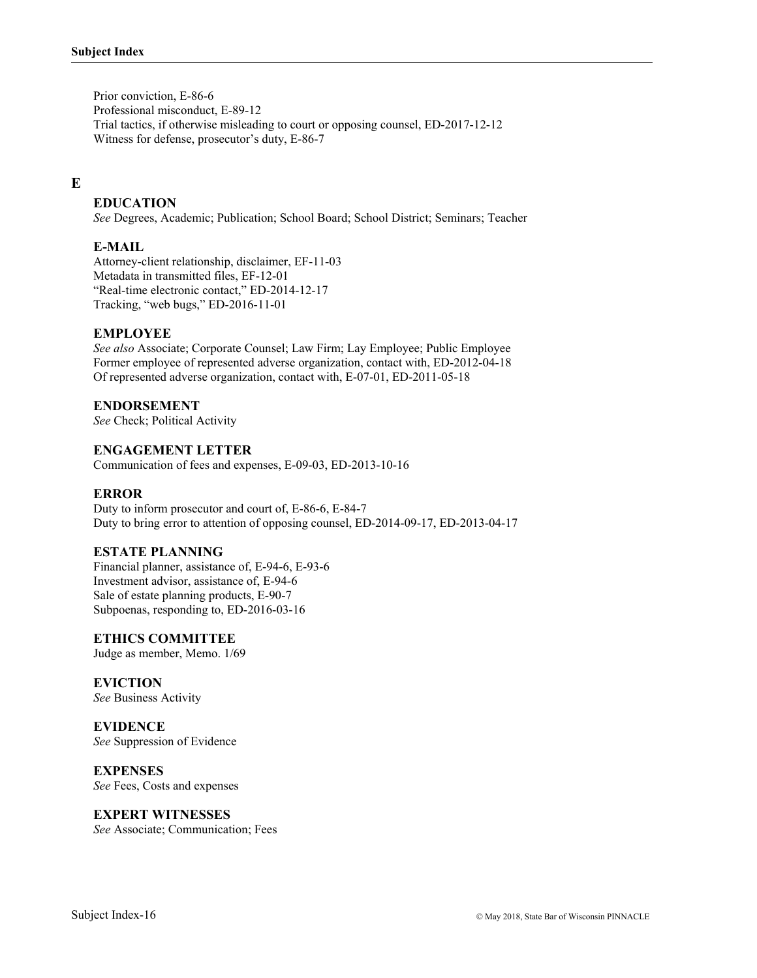Prior conviction, E-86-6 Professional misconduct, E-89-12 Trial tactics, if otherwise misleading to court or opposing counsel, ED-2017-12-12 Witness for defense, prosecutor's duty, E-86-7

# **E**

### **EDUCATION**

*See* Degrees, Academic; Publication; School Board; School District; Seminars; Teacher

### **E-MAIL**

Attorney-client relationship, disclaimer, EF-11-03 Metadata in transmitted files, EF-12-01 "Real-time electronic contact," ED-2014-12-17 Tracking, "web bugs," ED-2016-11-01

### **EMPLOYEE**

*See also* Associate; Corporate Counsel; Law Firm; Lay Employee; Public Employee Former employee of represented adverse organization, contact with, ED-2012-04-18 Of represented adverse organization, contact with, E-07-01, ED-2011-05-18

#### **ENDORSEMENT**

*See* Check; Political Activity

#### **ENGAGEMENT LETTER**

Communication of fees and expenses, E-09-03, ED-2013-10-16

#### **ERROR**

Duty to inform prosecutor and court of, E-86-6, E-84-7 Duty to bring error to attention of opposing counsel, ED-2014-09-17, ED-2013-04-17

#### **ESTATE PLANNING**

Financial planner, assistance of, E-94-6, E-93-6 Investment advisor, assistance of, E-94-6 Sale of estate planning products, E-90-7 Subpoenas, responding to, ED-2016-03-16

#### **ETHICS COMMITTEE**

Judge as member, Memo. 1/69

#### **EVICTION**

*See* Business Activity

#### **EVIDENCE**

*See* Suppression of Evidence

#### **EXPENSES**

*See* Fees, Costs and expenses

#### **EXPERT WITNESSES**

*See* Associate; Communication; Fees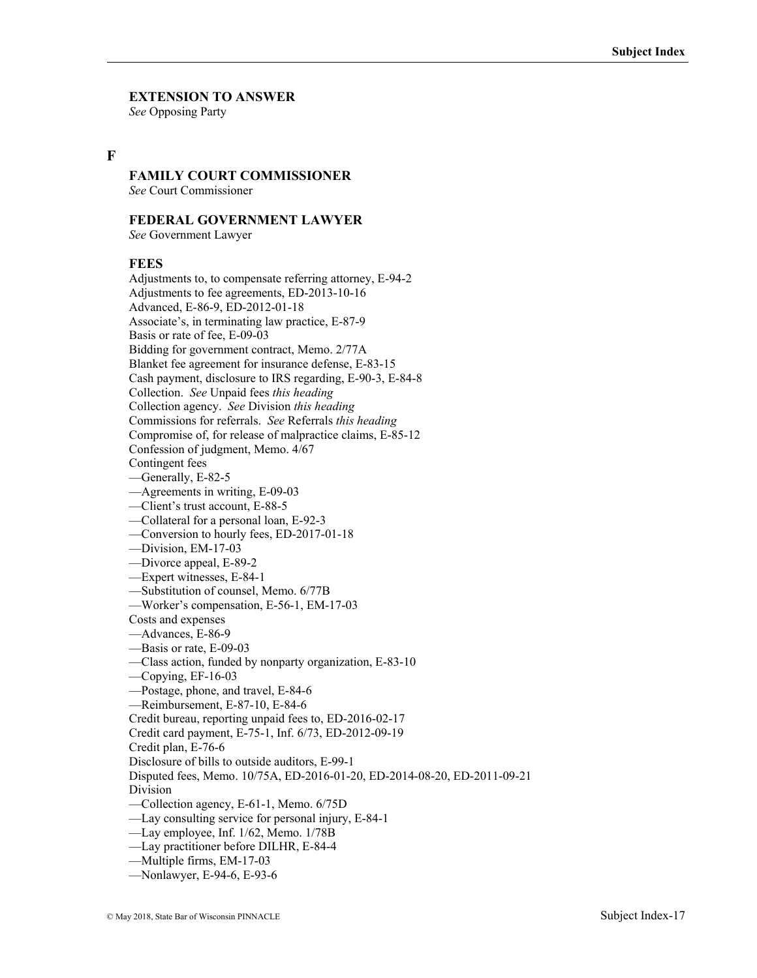# **EXTENSION TO ANSWER**

*See* Opposing Party

### **F**

# **FAMILY COURT COMMISSIONER**

*See* Court Commissioner

### **FEDERAL GOVERNMENT LAWYER**

*See* Government Lawyer

### **FEES**

Adjustments to, to compensate referring attorney, E-94-2 Adjustments to fee agreements, ED-2013-10-16 Advanced, E-86-9, ED-2012-01-18 Associate's, in terminating law practice, E-87-9 Basis or rate of fee, E-09-03 Bidding for government contract, Memo. 2/77A Blanket fee agreement for insurance defense, E-83-15 Cash payment, disclosure to IRS regarding, E-90-3, E-84-8 Collection. *See* Unpaid fees *this heading* Collection agency. *See* Division *this heading* Commissions for referrals. *See* Referrals *this heading* Compromise of, for release of malpractice claims, E-85-12 Confession of judgment, Memo. 4/67 Contingent fees —Generally, E-82-5 —Agreements in writing, E-09-03 —Client's trust account, E-88-5 —Collateral for a personal loan, E-92-3 —Conversion to hourly fees, ED-2017-01-18 —Division, EM-17-03 —Divorce appeal, E-89-2 —Expert witnesses, E-84-1 —Substitution of counsel, Memo. 6/77B —Worker's compensation, E-56-1, EM-17-03 Costs and expenses —Advances, E-86-9 —Basis or rate, E-09-03 —Class action, funded by nonparty organization, E-83-10 —Copying, EF-16-03 —Postage, phone, and travel, E-84-6 —Reimbursement, E-87-10, E-84-6 Credit bureau, reporting unpaid fees to, ED-2016-02-17 Credit card payment, E-75-1, Inf. 6/73, ED-2012-09-19 Credit plan, E-76-6 Disclosure of bills to outside auditors, E-99-1 Disputed fees, Memo. 10/75A, ED-2016-01-20, ED-2014-08-20, ED-2011-09-21 Division —Collection agency, E-61-1, Memo. 6/75D —Lay consulting service for personal injury, E-84-1 —Lay employee, Inf. 1/62, Memo. 1/78B —Lay practitioner before DILHR, E-84-4

- —Multiple firms, EM-17-03
- —Nonlawyer, E-94-6, E-93-6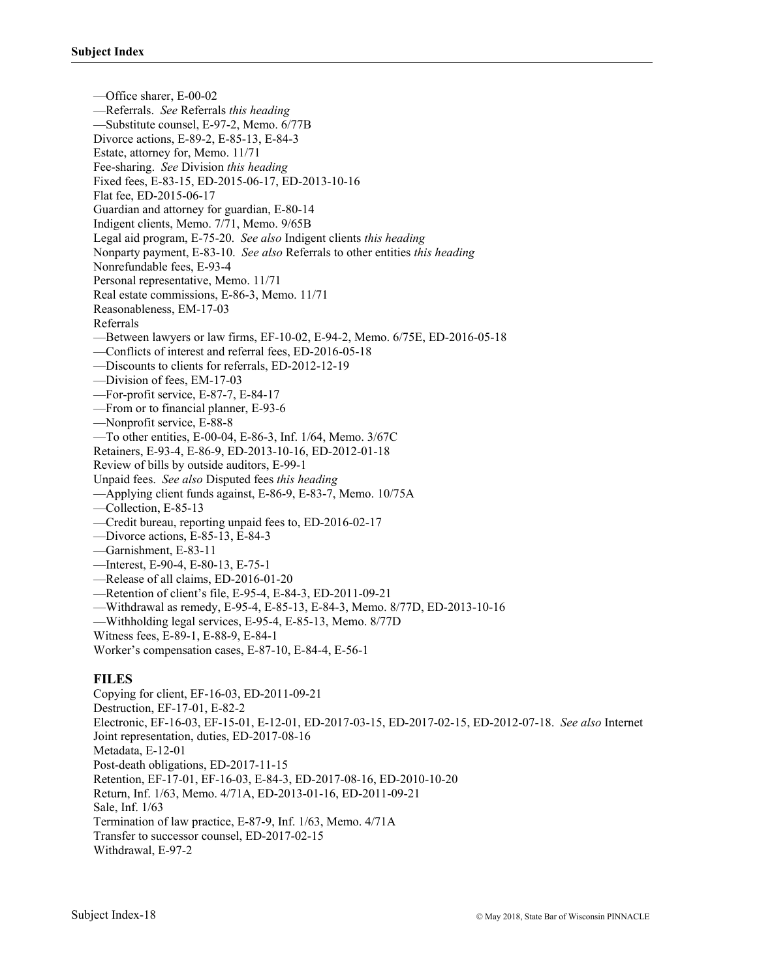—Office sharer, E-00-02 —Referrals. *See* Referrals *this heading* —Substitute counsel, E-97-2, Memo. 6/77B Divorce actions, E-89-2, E-85-13, E-84-3 Estate, attorney for, Memo. 11/71 Fee-sharing. *See* Division *this heading* Fixed fees, E-83-15, ED-2015-06-17, ED-2013-10-16 Flat fee, ED-2015-06-17 Guardian and attorney for guardian, E-80-14 Indigent clients, Memo. 7/71, Memo. 9/65B Legal aid program, E-75-20. *See also* Indigent clients *this heading* Nonparty payment, E-83-10. *See also* Referrals to other entities *this heading* Nonrefundable fees, E-93-4 Personal representative, Memo. 11/71 Real estate commissions, E-86-3, Memo. 11/71 Reasonableness, EM-17-03 Referrals —Between lawyers or law firms, EF-10-02, E-94-2, Memo. 6/75E, ED-2016-05-18 —Conflicts of interest and referral fees, ED-2016-05-18 —Discounts to clients for referrals, ED-2012-12-19 —Division of fees, EM-17-03 —For-profit service, E-87-7, E-84-17 —From or to financial planner, E-93-6 —Nonprofit service, E-88-8 —To other entities, E-00-04, E-86-3, Inf. 1/64, Memo. 3/67C Retainers, E-93-4, E-86-9, ED-2013-10-16, ED-2012-01-18 Review of bills by outside auditors, E-99-1 Unpaid fees. *See also* Disputed fees *this heading* —Applying client funds against, E-86-9, E-83-7, Memo. 10/75A —Collection, E-85-13 —Credit bureau, reporting unpaid fees to, ED-2016-02-17 —Divorce actions, E-85-13, E-84-3 —Garnishment, E-83-11 —Interest, E-90-4, E-80-13, E-75-1 —Release of all claims, ED-2016-01-20 —Retention of client's file, E-95-4, E-84-3, ED-2011-09-21 —Withdrawal as remedy, E-95-4, E-85-13, E-84-3, Memo. 8/77D, ED-2013-10-16 —Withholding legal services, E-95-4, E-85-13, Memo. 8/77D Witness fees, E-89-1, E-88-9, E-84-1 Worker's compensation cases, E-87-10, E-84-4, E-56-1

# **FILES**

Copying for client, EF-16-03, ED-2011-09-21 Destruction, EF-17-01, E-82-2 Electronic, EF-16-03, EF-15-01, E-12-01, ED-2017-03-15, ED-2017-02-15, ED-2012-07-18. *See also* Internet Joint representation, duties, ED-2017-08-16 Metadata, E-12-01 Post-death obligations, ED-2017-11-15 Retention, EF-17-01, EF-16-03, E-84-3, ED-2017-08-16, ED-2010-10-20 Return, Inf. 1/63, Memo. 4/71A, ED-2013-01-16, ED-2011-09-21 Sale, Inf. 1/63 Termination of law practice, E-87-9, Inf. 1/63, Memo. 4/71A Transfer to successor counsel, ED-2017-02-15 Withdrawal, E-97-2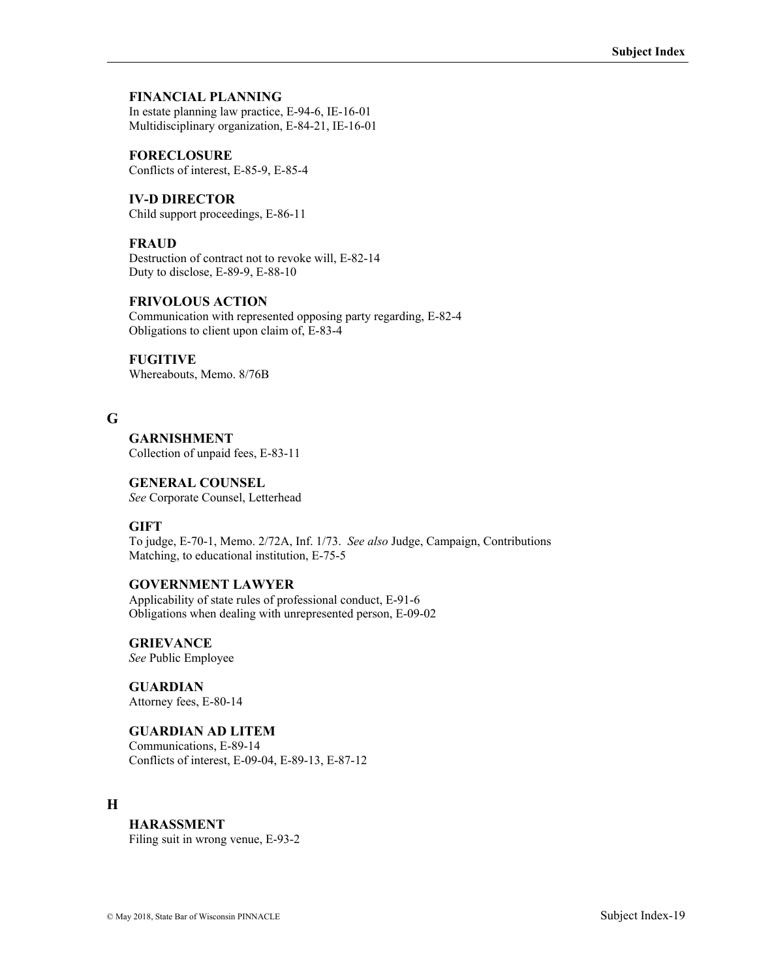### **FINANCIAL PLANNING**

In estate planning law practice, E-94-6, IE-16-01 Multidisciplinary organization, E-84-21, IE-16-01

**FORECLOSURE** Conflicts of interest, E-85-9, E-85-4

**IV-D DIRECTOR** Child support proceedings, E-86-11

### **FRAUD**

Destruction of contract not to revoke will, E-82-14 Duty to disclose, E-89-9, E-88-10

# **FRIVOLOUS ACTION**

Communication with represented opposing party regarding, E-82-4 Obligations to client upon claim of, E-83-4

## **FUGITIVE**

Whereabouts, Memo. 8/76B

### **G**

**GARNISHMENT** Collection of unpaid fees, E-83-11

## **GENERAL COUNSEL**

*See* Corporate Counsel, Letterhead

### **GIFT**

To judge, E-70-1, Memo. 2/72A, Inf. 1/73. *See also* Judge, Campaign, Contributions Matching, to educational institution, E-75-5

### **GOVERNMENT LAWYER**

Applicability of state rules of professional conduct, E-91-6 Obligations when dealing with unrepresented person, E-09-02

**GRIEVANCE**  *See* Public Employee

**GUARDIAN** Attorney fees, E-80-14

### **GUARDIAN AD LITEM**

Communications, E-89-14 Conflicts of interest, E-09-04, E-89-13, E-87-12

# **H**

### **HARASSMENT**

Filing suit in wrong venue, E-93-2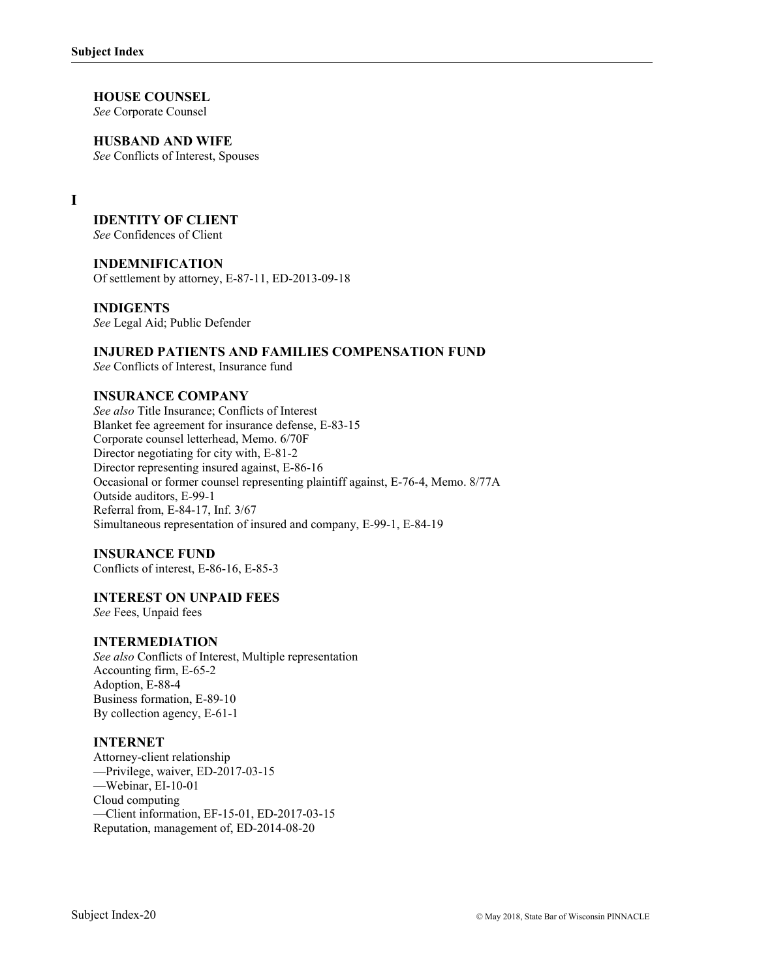**HOUSE COUNSEL**  *See* Corporate Counsel

**HUSBAND AND WIFE**  *See* Conflicts of Interest, Spouses

**I** 

# **IDENTITY OF CLIENT**

*See* Confidences of Client

### **INDEMNIFICATION**

Of settlement by attorney, E-87-11, ED-2013-09-18

#### **INDIGENTS**

*See* Legal Aid; Public Defender

### **INJURED PATIENTS AND FAMILIES COMPENSATION FUND**

*See* Conflicts of Interest, Insurance fund

### **INSURANCE COMPANY**

*See also* Title Insurance; Conflicts of Interest Blanket fee agreement for insurance defense, E-83-15 Corporate counsel letterhead, Memo. 6/70F Director negotiating for city with, E-81-2 Director representing insured against, E-86-16 Occasional or former counsel representing plaintiff against, E-76-4, Memo. 8/77A Outside auditors, E-99-1 Referral from, E-84-17, Inf. 3/67 Simultaneous representation of insured and company, E-99-1, E-84-19

#### **INSURANCE FUND**

Conflicts of interest, E-86-16, E-85-3

### **INTEREST ON UNPAID FEES**

*See* Fees, Unpaid fees

### **INTERMEDIATION**

*See also* Conflicts of Interest, Multiple representation Accounting firm, E-65-2 Adoption, E-88-4 Business formation, E-89-10 By collection agency, E-61-1

#### **INTERNET**

Attorney-client relationship —Privilege, waiver, ED-2017-03-15 —Webinar, EI-10-01 Cloud computing —Client information, EF-15-01, ED-2017-03-15 Reputation, management of, ED-2014-08-20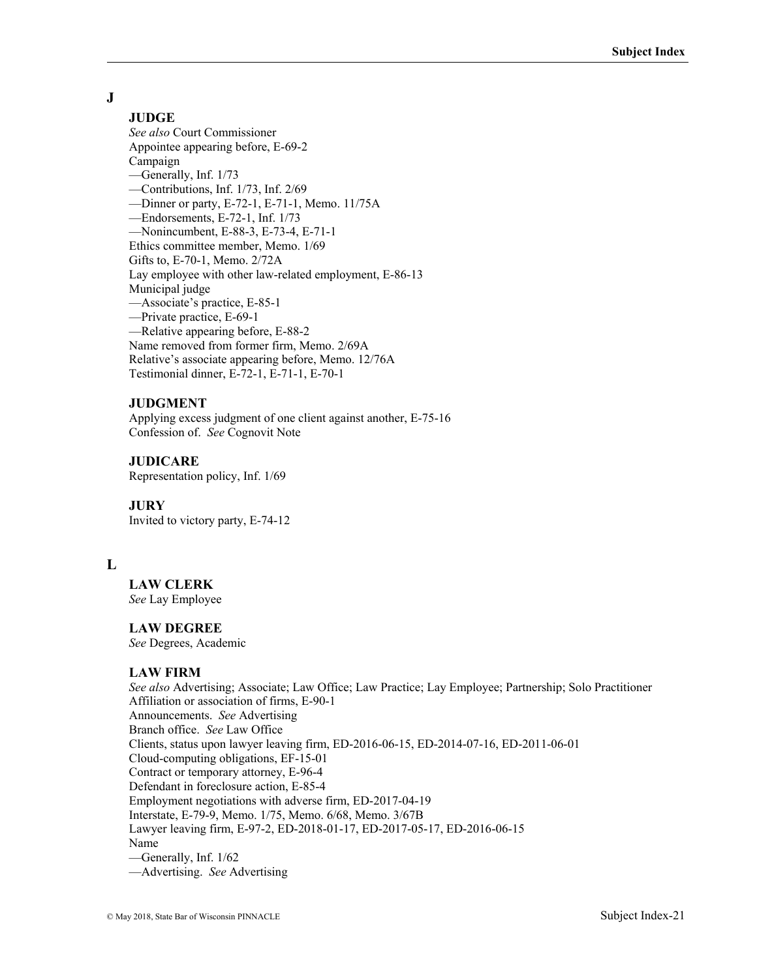# **J**

# **JUDGE**

*See also* Court Commissioner Appointee appearing before, E-69-2 Campaign —Generally, Inf. 1/73 —Contributions, Inf. 1/73, Inf. 2/69 —Dinner or party, E-72-1, E-71-1, Memo. 11/75A —Endorsements, E-72-1, Inf. 1/73 —Nonincumbent, E-88-3, E-73-4, E-71-1 Ethics committee member, Memo. 1/69 Gifts to, E-70-1, Memo. 2/72A Lay employee with other law-related employment, E-86-13 Municipal judge —Associate's practice, E-85-1 —Private practice, E-69-1 —Relative appearing before, E-88-2 Name removed from former firm, Memo. 2/69A Relative's associate appearing before, Memo. 12/76A Testimonial dinner, E-72-1, E-71-1, E-70-1

### **JUDGMENT**

Applying excess judgment of one client against another, E-75-16 Confession of. *See* Cognovit Note

### **JUDICARE**

Representation policy, Inf. 1/69

### **JURY**

Invited to victory party, E-74-12

### **L**

**LAW CLERK**  *See* Lay Employee

### **LAW DEGREE**

*See* Degrees, Academic

### **LAW FIRM**

*See also* Advertising; Associate; Law Office; Law Practice; Lay Employee; Partnership; Solo Practitioner Affiliation or association of firms, E-90-1 Announcements. *See* Advertising Branch office. *See* Law Office Clients, status upon lawyer leaving firm, ED-2016-06-15, ED-2014-07-16, ED-2011-06-01 Cloud-computing obligations, EF-15-01 Contract or temporary attorney, E-96-4 Defendant in foreclosure action, E-85-4 Employment negotiations with adverse firm, ED-2017-04-19 Interstate, E-79-9, Memo. 1/75, Memo. 6/68, Memo. 3/67B Lawyer leaving firm, E-97-2, ED-2018-01-17, ED-2017-05-17, ED-2016-06-15 Name —Generally, Inf. 1/62 —Advertising. *See* Advertising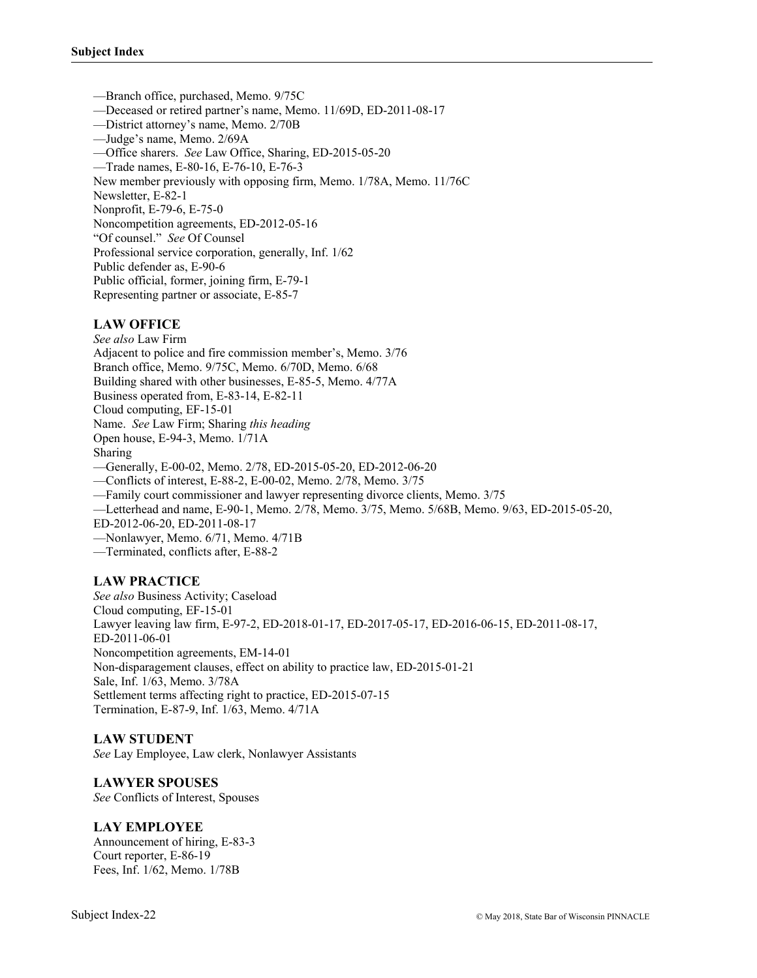—Branch office, purchased, Memo. 9/75C —Deceased or retired partner's name, Memo. 11/69D, ED-2011-08-17 —District attorney's name, Memo. 2/70B —Judge's name, Memo. 2/69A —Office sharers. *See* Law Office, Sharing, ED-2015-05-20 —Trade names, E-80-16, E-76-10, E-76-3 New member previously with opposing firm, Memo. 1/78A, Memo. 11/76C Newsletter, E-82-1 Nonprofit, E-79-6, E-75-0 Noncompetition agreements, ED-2012-05-16 "Of counsel." *See* Of Counsel Professional service corporation, generally, Inf. 1/62 Public defender as, E-90-6 Public official, former, joining firm, E-79-1 Representing partner or associate, E-85-7

### **LAW OFFICE**

*See also* Law Firm Adjacent to police and fire commission member's, Memo. 3/76 Branch office, Memo. 9/75C, Memo. 6/70D, Memo. 6/68 Building shared with other businesses, E-85-5, Memo. 4/77A Business operated from, E-83-14, E-82-11 Cloud computing, EF-15-01 Name. *See* Law Firm; Sharing *this heading* Open house, E-94-3, Memo. 1/71A Sharing —Generally, E-00-02, Memo. 2/78, ED-2015-05-20, ED-2012-06-20 —Conflicts of interest, E-88-2, E-00-02, Memo. 2/78, Memo. 3/75 —Family court commissioner and lawyer representing divorce clients, Memo. 3/75 —Letterhead and name, E-90-1, Memo. 2/78, Memo. 3/75, Memo. 5/68B, Memo. 9/63, ED-2015-05-20, ED-2012-06-20, ED-2011-08-17 —Nonlawyer, Memo. 6/71, Memo. 4/71B —Terminated, conflicts after, E-88-2

# **LAW PRACTICE**

*See also* Business Activity; Caseload Cloud computing, EF-15-01 Lawyer leaving law firm, E-97-2, ED-2018-01-17, ED-2017-05-17, ED-2016-06-15, ED-2011-08-17, ED-2011-06-01 Noncompetition agreements, EM-14-01 Non-disparagement clauses, effect on ability to practice law, ED-2015-01-21 Sale, Inf. 1/63, Memo. 3/78A Settlement terms affecting right to practice, ED-2015-07-15 Termination, E-87-9, Inf. 1/63, Memo. 4/71A

#### **LAW STUDENT**

*See* Lay Employee, Law clerk, Nonlawyer Assistants

### **LAWYER SPOUSES**

*See* Conflicts of Interest, Spouses

#### **LAY EMPLOYEE**

Announcement of hiring, E-83-3 Court reporter, E-86-19 Fees, Inf. 1/62, Memo. 1/78B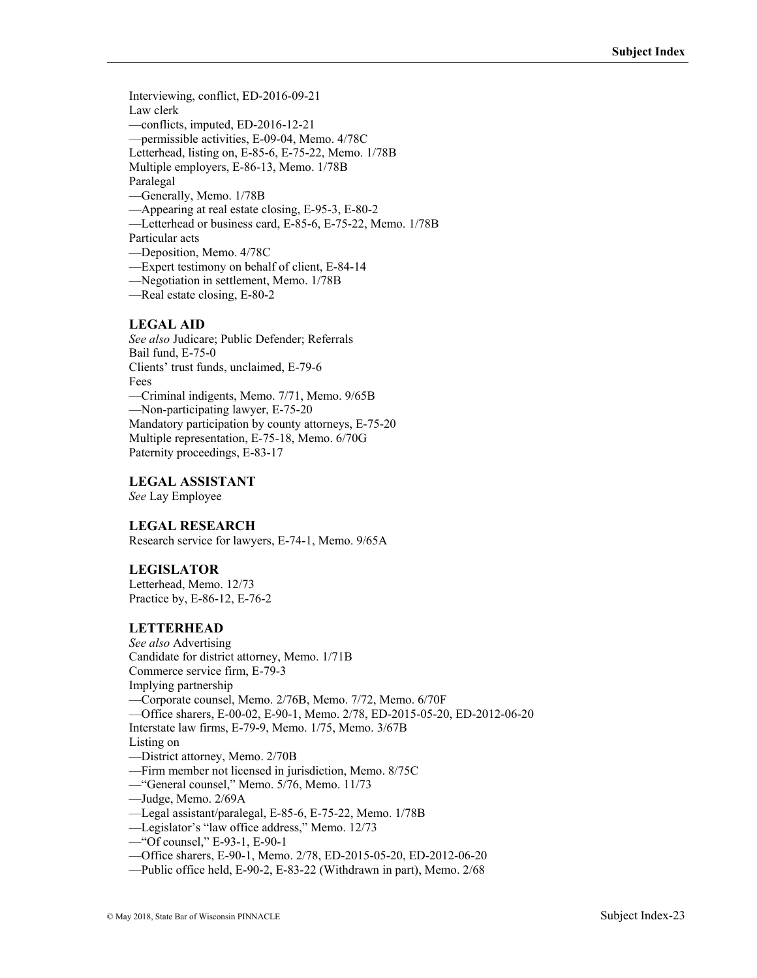Interviewing, conflict, ED-2016-09-21 Law clerk —conflicts, imputed, ED-2016-12-21 —permissible activities, E-09-04, Memo. 4/78C Letterhead, listing on, E-85-6, E-75-22, Memo. 1/78B Multiple employers, E-86-13, Memo. 1/78B Paralegal —Generally, Memo. 1/78B —Appearing at real estate closing, E-95-3, E-80-2

—Letterhead or business card, E-85-6, E-75-22, Memo. 1/78B

Particular acts

—Deposition, Memo. 4/78C

—Expert testimony on behalf of client, E-84-14

—Negotiation in settlement, Memo. 1/78B

—Real estate closing, E-80-2

#### **LEGAL AID**

*See also* Judicare; Public Defender; Referrals Bail fund, E-75-0 Clients' trust funds, unclaimed, E-79-6 Fees —Criminal indigents, Memo. 7/71, Memo. 9/65B —Non-participating lawyer, E-75-20 Mandatory participation by county attorneys, E-75-20 Multiple representation, E-75-18, Memo. 6/70G Paternity proceedings, E-83-17

### **LEGAL ASSISTANT**

*See* Lay Employee

### **LEGAL RESEARCH**

Research service for lawyers, E-74-1, Memo. 9/65A

#### **LEGISLATOR**

Letterhead, Memo. 12/73 Practice by, E-86-12, E-76-2

#### **LETTERHEAD**

*See also* Advertising Candidate for district attorney, Memo. 1/71B Commerce service firm, E-79-3 Implying partnership —Corporate counsel, Memo. 2/76B, Memo. 7/72, Memo. 6/70F —Office sharers, E-00-02, E-90-1, Memo. 2/78, ED-2015-05-20, ED-2012-06-20 Interstate law firms, E-79-9, Memo. 1/75, Memo. 3/67B Listing on —District attorney, Memo. 2/70B —Firm member not licensed in jurisdiction, Memo. 8/75C —"General counsel," Memo. 5/76, Memo. 11/73 —Judge, Memo. 2/69A —Legal assistant/paralegal, E-85-6, E-75-22, Memo. 1/78B —Legislator's "law office address," Memo. 12/73 —"Of counsel," E-93-1, E-90-1

- —Office sharers, E-90-1, Memo. 2/78, ED-2015-05-20, ED-2012-06-20
- —Public office held, E-90-2, E-83-22 (Withdrawn in part), Memo. 2/68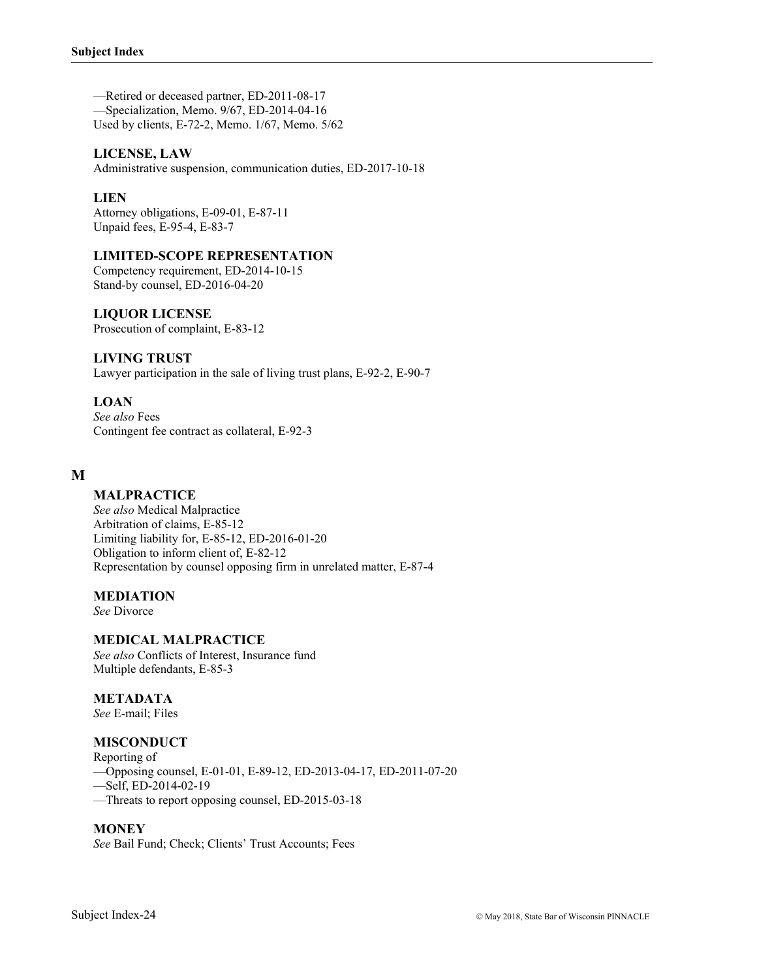—Retired or deceased partner, ED-2011-08-17 —Specialization, Memo. 9/67, ED-2014-04-16 Used by clients, E-72-2, Memo. 1/67, Memo. 5/62

### **LICENSE, LAW**

Administrative suspension, communication duties, ED-2017-10-18

### **LIEN**

Attorney obligations, E-09-01, E-87-11 Unpaid fees, E-95-4, E-83-7

#### **LIMITED-SCOPE REPRESENTATION**

Competency requirement, ED-2014-10-15 Stand-by counsel, ED-2016-04-20

### **LIQUOR LICENSE**

Prosecution of complaint, E-83-12

#### **LIVING TRUST**

Lawyer participation in the sale of living trust plans, E-92-2, E-90-7

### **LOAN**

*See also* Fees Contingent fee contract as collateral, E-92-3

### **M**

### **MALPRACTICE**

*See also* Medical Malpractice Arbitration of claims, E-85-12 Limiting liability for, E-85-12, ED-2016-01-20 Obligation to inform client of, E-82-12 Representation by counsel opposing firm in unrelated matter, E-87-4

#### **MEDIATION**

*See* Divorce

### **MEDICAL MALPRACTICE**

*See also* Conflicts of Interest, Insurance fund Multiple defendants, E-85-3

### **METADATA**

*See* E-mail; Files

#### **MISCONDUCT**

Reporting of

—Opposing counsel, E-01-01, E-89-12, ED-2013-04-17, ED-2011-07-20

—Self, ED-2014-02-19

# —Threats to report opposing counsel, ED-2015-03-18

#### **MONEY**

*See* Bail Fund; Check; Clients' Trust Accounts; Fees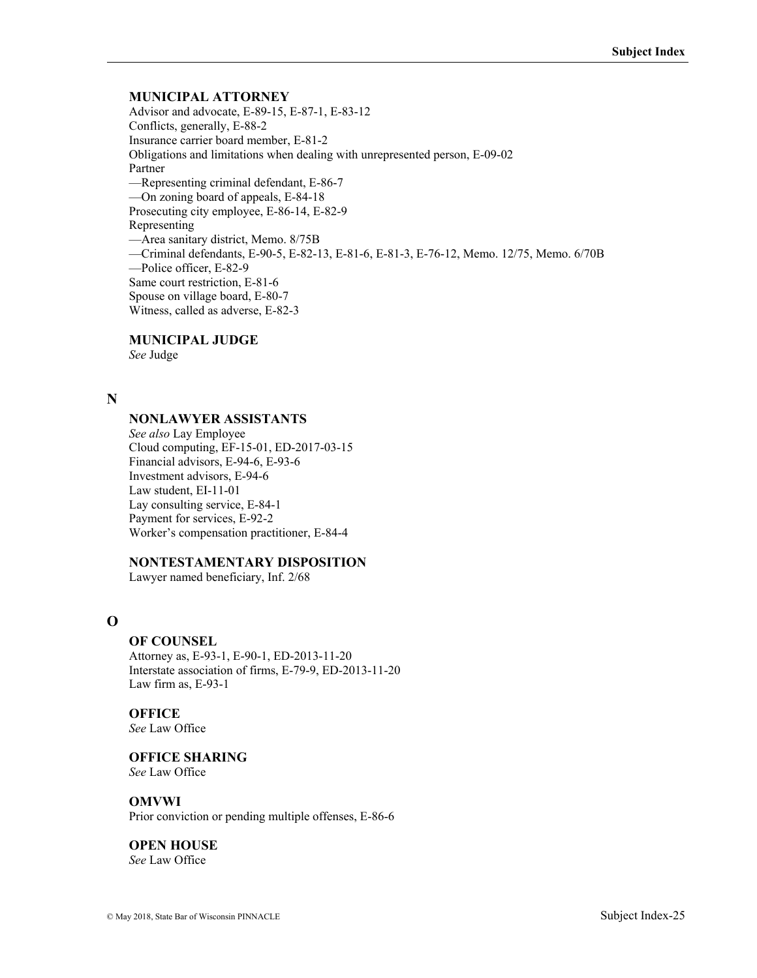### **MUNICIPAL ATTORNEY**

Advisor and advocate, E-89-15, E-87-1, E-83-12 Conflicts, generally, E-88-2 Insurance carrier board member, E-81-2 Obligations and limitations when dealing with unrepresented person, E-09-02 Partner —Representing criminal defendant, E-86-7 —On zoning board of appeals, E-84-18 Prosecuting city employee, E-86-14, E-82-9 Representing —Area sanitary district, Memo. 8/75B —Criminal defendants, E-90-5, E-82-13, E-81-6, E-81-3, E-76-12, Memo. 12/75, Memo. 6/70B —Police officer, E-82-9 Same court restriction, E-81-6 Spouse on village board, E-80-7 Witness, called as adverse, E-82-3

# **MUNICIPAL JUDGE**

*See* Judge

### **N**

### **NONLAWYER ASSISTANTS**

*See also* Lay Employee Cloud computing, EF-15-01, ED-2017-03-15 Financial advisors, E-94-6, E-93-6 Investment advisors, E-94-6 Law student, EI-11-01 Lay consulting service, E-84-1 Payment for services, E-92-2 Worker's compensation practitioner, E-84-4

#### **NONTESTAMENTARY DISPOSITION**

Lawyer named beneficiary, Inf. 2/68

# **O**

#### **OF COUNSEL**

Attorney as, E-93-1, E-90-1, ED-2013-11-20 Interstate association of firms, E-79-9, ED-2013-11-20 Law firm as, E-93-1

**OFFICE** 

*See* Law Office

**OFFICE SHARING**  *See* Law Office

**OMVWI** Prior conviction or pending multiple offenses, E-86-6

**OPEN HOUSE**  *See* Law Office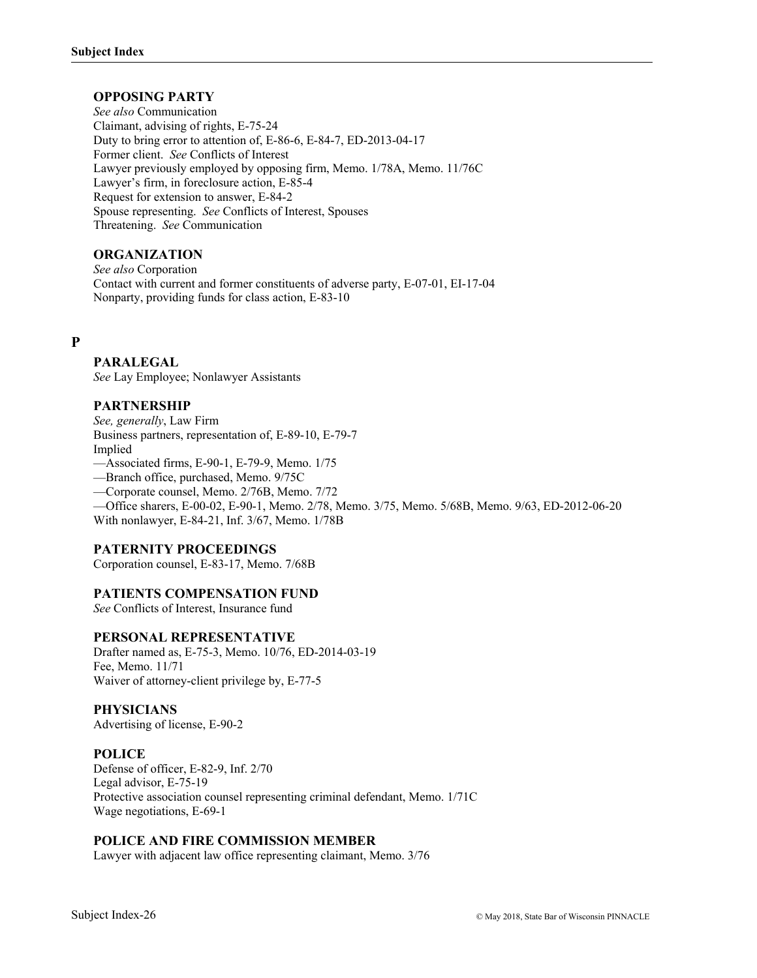## **OPPOSING PARTY**

*See also* Communication Claimant, advising of rights, E-75-24 Duty to bring error to attention of, E-86-6, E-84-7, ED-2013-04-17 Former client. *See* Conflicts of Interest Lawyer previously employed by opposing firm, Memo. 1/78A, Memo. 11/76C Lawyer's firm, in foreclosure action, E-85-4 Request for extension to answer, E-84-2 Spouse representing. *See* Conflicts of Interest, Spouses Threatening. *See* Communication

### **ORGANIZATION**

*See also* Corporation Contact with current and former constituents of adverse party, E-07-01, EI-17-04 Nonparty, providing funds for class action, E-83-10

### **P**

### **PARALEGAL**

*See* Lay Employee; Nonlawyer Assistants

### **PARTNERSHIP**

*See, generally*, Law Firm Business partners, representation of, E-89-10, E-79-7 Implied

—Associated firms, E-90-1, E-79-9, Memo. 1/75

—Branch office, purchased, Memo. 9/75C

—Corporate counsel, Memo. 2/76B, Memo. 7/72

—Office sharers, E-00-02, E-90-1, Memo. 2/78, Memo. 3/75, Memo. 5/68B, Memo. 9/63, ED-2012-06-20 With nonlawyer, E-84-21, Inf. 3/67, Memo. 1/78B

#### **PATERNITY PROCEEDINGS**

Corporation counsel, E-83-17, Memo. 7/68B

#### **PATIENTS COMPENSATION FUND**

*See* Conflicts of Interest, Insurance fund

#### **PERSONAL REPRESENTATIVE**

Drafter named as, E-75-3, Memo. 10/76, ED-2014-03-19 Fee, Memo. 11/71 Waiver of attorney-client privilege by, E-77-5

#### **PHYSICIANS**

Advertising of license, E-90-2

#### **POLICE**

Defense of officer, E-82-9, Inf. 2/70 Legal advisor, E-75-19 Protective association counsel representing criminal defendant, Memo. 1/71C Wage negotiations, E-69-1

#### **POLICE AND FIRE COMMISSION MEMBER**

Lawyer with adjacent law office representing claimant, Memo. 3/76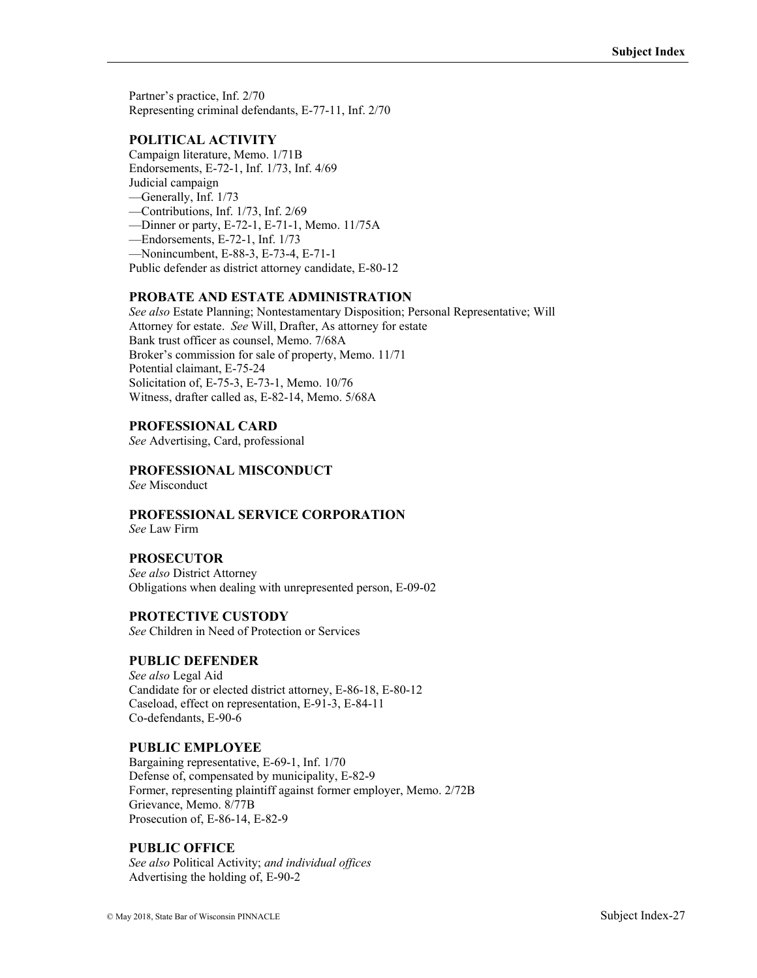Partner's practice, Inf. 2/70 Representing criminal defendants, E-77-11, Inf. 2/70

# **POLITICAL ACTIVITY**

Campaign literature, Memo. 1/71B Endorsements, E-72-1, Inf. 1/73, Inf. 4/69 Judicial campaign —Generally, Inf. 1/73 —Contributions, Inf. 1/73, Inf. 2/69 —Dinner or party, E-72-1, E-71-1, Memo. 11/75A —Endorsements, E-72-1, Inf. 1/73 —Nonincumbent, E-88-3, E-73-4, E-71-1 Public defender as district attorney candidate, E-80-12

### **PROBATE AND ESTATE ADMINISTRATION**

*See also* Estate Planning; Nontestamentary Disposition; Personal Representative; Will Attorney for estate. *See* Will, Drafter, As attorney for estate Bank trust officer as counsel, Memo. 7/68A Broker's commission for sale of property, Memo. 11/71 Potential claimant, E-75-24 Solicitation of, E-75-3, E-73-1, Memo. 10/76 Witness, drafter called as, E-82-14, Memo. 5/68A

### **PROFESSIONAL CARD**

*See* Advertising, Card, professional

### **PROFESSIONAL MISCONDUCT**

*See* Misconduct

#### **PROFESSIONAL SERVICE CORPORATION**  *See* Law Firm

### **PROSECUTOR**

*See also* District Attorney Obligations when dealing with unrepresented person, E-09-02

### **PROTECTIVE CUSTODY**

*See* Children in Need of Protection or Services

### **PUBLIC DEFENDER**

*See also* Legal Aid Candidate for or elected district attorney, E-86-18, E-80-12 Caseload, effect on representation, E-91-3, E-84-11 Co-defendants, E-90-6

### **PUBLIC EMPLOYEE**

Bargaining representative, E-69-1, Inf. 1/70 Defense of, compensated by municipality, E-82-9 Former, representing plaintiff against former employer, Memo. 2/72B Grievance, Memo. 8/77B Prosecution of, E-86-14, E-82-9

### **PUBLIC OFFICE**

*See also* Political Activity; *and individual offices* Advertising the holding of, E-90-2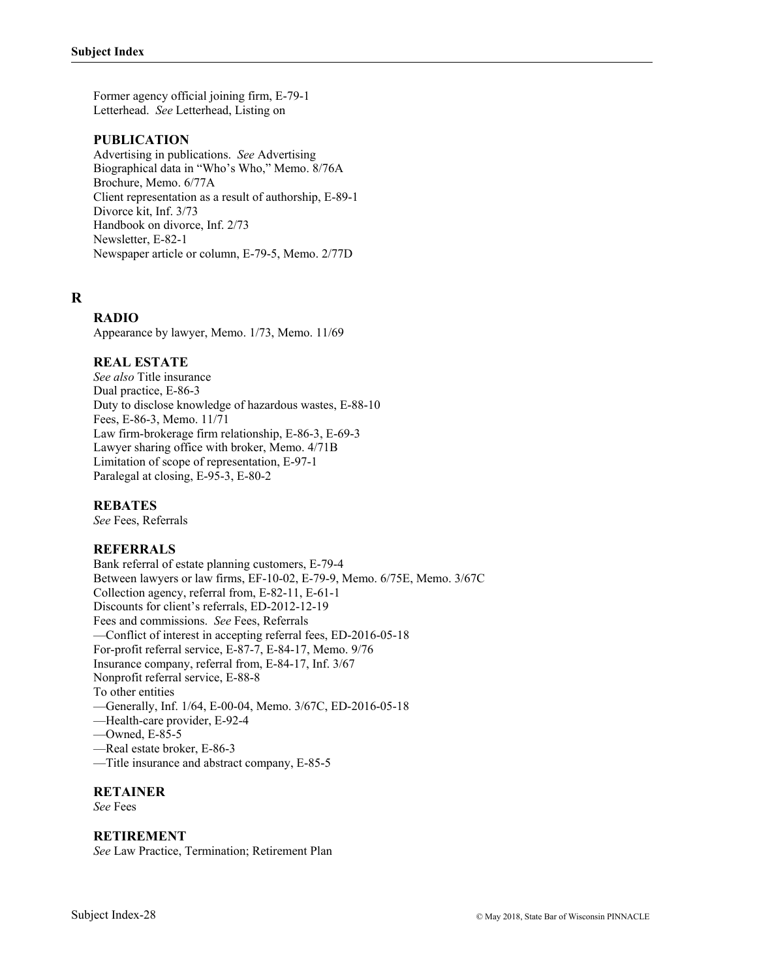Former agency official joining firm, E-79-1 Letterhead. *See* Letterhead, Listing on

#### **PUBLICATION**

Advertising in publications. *See* Advertising Biographical data in "Who's Who," Memo. 8/76A Brochure, Memo. 6/77A Client representation as a result of authorship, E-89-1 Divorce kit, Inf. 3/73 Handbook on divorce, Inf. 2/73 Newsletter, E-82-1 Newspaper article or column, E-79-5, Memo. 2/77D

# **R**

# **RADIO**

Appearance by lawyer, Memo. 1/73, Memo. 11/69

### **REAL ESTATE**

*See also* Title insurance Dual practice, E-86-3 Duty to disclose knowledge of hazardous wastes, E-88-10 Fees, E-86-3, Memo. 11/71 Law firm-brokerage firm relationship, E-86-3, E-69-3 Lawyer sharing office with broker, Memo. 4/71B Limitation of scope of representation, E-97-1 Paralegal at closing, E-95-3, E-80-2

#### **REBATES**

*See* Fees, Referrals

### **REFERRALS**

Bank referral of estate planning customers, E-79-4 Between lawyers or law firms, EF-10-02, E-79-9, Memo. 6/75E, Memo. 3/67C Collection agency, referral from, E-82-11, E-61-1 Discounts for client's referrals, ED-2012-12-19 Fees and commissions. *See* Fees, Referrals —Conflict of interest in accepting referral fees, ED-2016-05-18 For-profit referral service, E-87-7, E-84-17, Memo. 9/76 Insurance company, referral from, E-84-17, Inf. 3/67 Nonprofit referral service, E-88-8 To other entities —Generally, Inf. 1/64, E-00-04, Memo. 3/67C, ED-2016-05-18 —Health-care provider, E-92-4 —Owned, E-85-5 —Real estate broker, E-86-3 —Title insurance and abstract company, E-85-5

#### **RETAINER**

*See* Fees

#### **RETIREMENT**

*See* Law Practice, Termination; Retirement Plan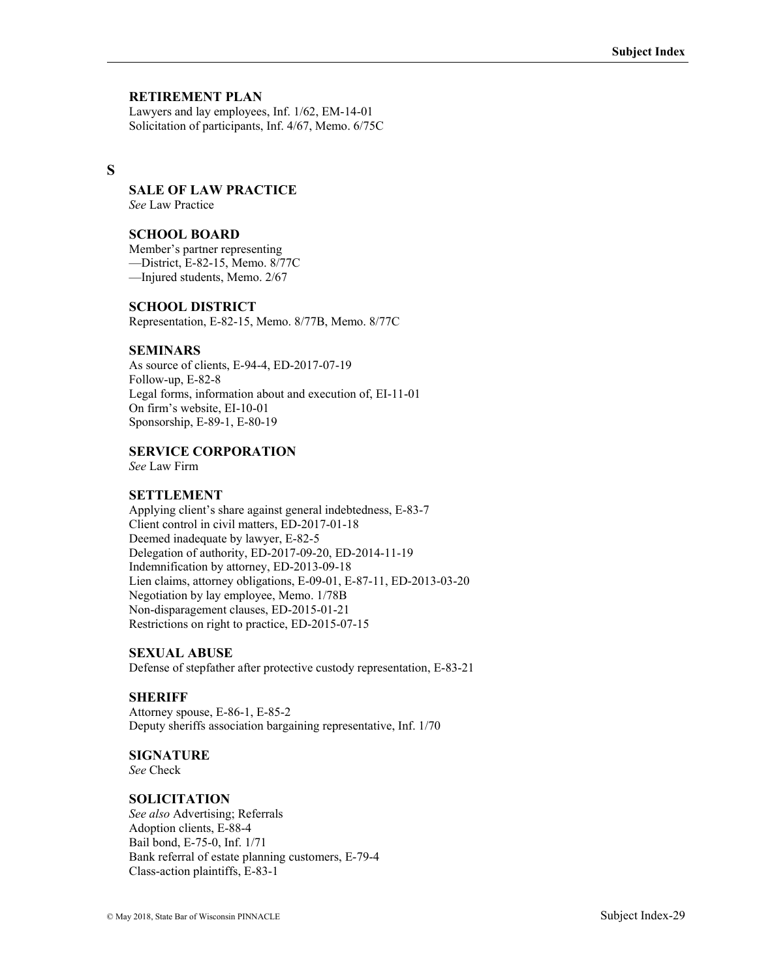### **RETIREMENT PLAN**

Lawyers and lay employees, Inf. 1/62, EM-14-01 Solicitation of participants, Inf. 4/67, Memo. 6/75C

### **S**

### **SALE OF LAW PRACTICE**

*See* Law Practice

#### **SCHOOL BOARD**

Member's partner representing —District, E-82-15, Memo. 8/77C —Injured students, Memo. 2/67

#### **SCHOOL DISTRICT**

Representation, E-82-15, Memo. 8/77B, Memo. 8/77C

#### **SEMINARS**

As source of clients, E-94-4, ED-2017-07-19 Follow-up, E-82-8 Legal forms, information about and execution of, EI-11-01 On firm's website, EI-10-01 Sponsorship, E-89-1, E-80-19

### **SERVICE CORPORATION**

*See* Law Firm

### **SETTLEMENT**

Applying client's share against general indebtedness, E-83-7 Client control in civil matters, ED-2017-01-18 Deemed inadequate by lawyer, E-82-5 Delegation of authority, ED-2017-09-20, ED-2014-11-19 Indemnification by attorney, ED-2013-09-18 Lien claims, attorney obligations, E-09-01, E-87-11, ED-2013-03-20 Negotiation by lay employee, Memo. 1/78B Non-disparagement clauses, ED-2015-01-21 Restrictions on right to practice, ED-2015-07-15

### **SEXUAL ABUSE**

Defense of stepfather after protective custody representation, E-83-21

#### **SHERIFF**

Attorney spouse, E-86-1, E-85-2 Deputy sheriffs association bargaining representative, Inf. 1/70

#### **SIGNATURE**

*See* Check

#### **SOLICITATION**

*See also* Advertising; Referrals Adoption clients, E-88-4 Bail bond, E-75-0, Inf. 1/71 Bank referral of estate planning customers, E-79-4 Class-action plaintiffs, E-83-1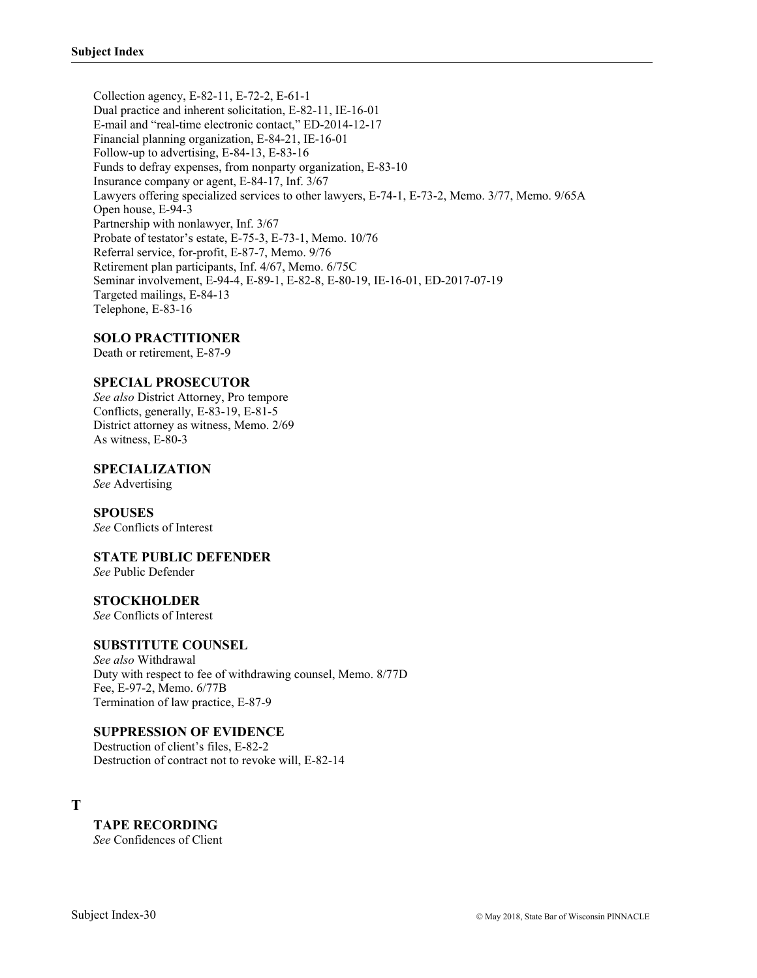Collection agency, E-82-11, E-72-2, E-61-1 Dual practice and inherent solicitation, E-82-11, IE-16-01 E-mail and "real-time electronic contact," ED-2014-12-17 Financial planning organization, E-84-21, IE-16-01 Follow-up to advertising, E-84-13, E-83-16 Funds to defray expenses, from nonparty organization, E-83-10 Insurance company or agent, E-84-17, Inf. 3/67 Lawyers offering specialized services to other lawyers, E-74-1, E-73-2, Memo. 3/77, Memo. 9/65A Open house, E-94-3 Partnership with nonlawyer, Inf. 3/67 Probate of testator's estate, E-75-3, E-73-1, Memo. 10/76 Referral service, for-profit, E-87-7, Memo. 9/76 Retirement plan participants, Inf. 4/67, Memo. 6/75C Seminar involvement, E-94-4, E-89-1, E-82-8, E-80-19, IE-16-01, ED-2017-07-19 Targeted mailings, E-84-13 Telephone, E-83-16

#### **SOLO PRACTITIONER**

Death or retirement, E-87-9

#### **SPECIAL PROSECUTOR**

*See also* District Attorney, Pro tempore Conflicts, generally, E-83-19, E-81-5 District attorney as witness, Memo. 2/69 As witness, E-80-3

#### **SPECIALIZATION**

*See* Advertising

#### **SPOUSES**

*See* Conflicts of Interest

### **STATE PUBLIC DEFENDER**

*See* Public Defender

#### **STOCKHOLDER**

*See* Conflicts of Interest

### **SUBSTITUTE COUNSEL**

*See also* Withdrawal Duty with respect to fee of withdrawing counsel, Memo. 8/77D Fee, E-97-2, Memo. 6/77B Termination of law practice, E-87-9

#### **SUPPRESSION OF EVIDENCE**

Destruction of client's files, E-82-2 Destruction of contract not to revoke will, E-82-14

**T** 

**TAPE RECORDING**  *See* Confidences of Client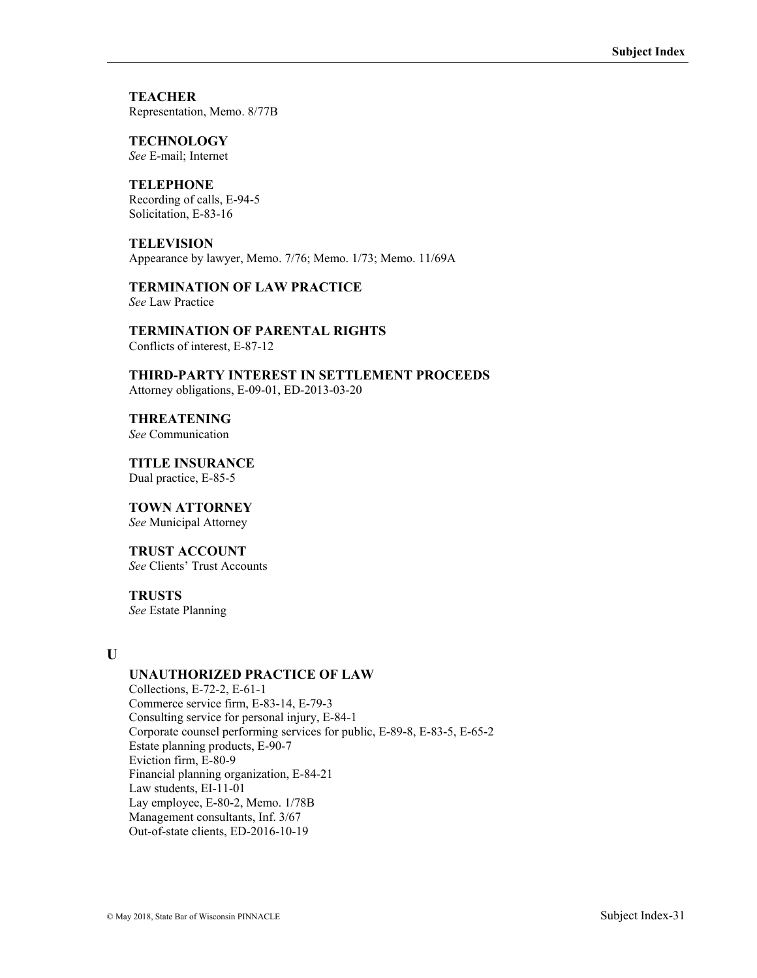**TEACHER** Representation, Memo. 8/77B

**TECHNOLOGY**  *See* E-mail; Internet

**TELEPHONE** Recording of calls, E-94-5 Solicitation, E-83-16

**TELEVISION** Appearance by lawyer, Memo. 7/76; Memo. 1/73; Memo. 11/69A

**TERMINATION OF LAW PRACTICE**  *See* Law Practice

**TERMINATION OF PARENTAL RIGHTS** Conflicts of interest, E-87-12

**THIRD-PARTY INTEREST IN SETTLEMENT PROCEEDS** Attorney obligations, E-09-01, ED-2013-03-20

**THREATENING**  *See* Communication

**TITLE INSURANCE** Dual practice, E-85-5

# **TOWN ATTORNEY**

*See* Municipal Attorney

### **TRUST ACCOUNT**

*See* Clients' Trust Accounts

#### **TRUSTS**

*See* Estate Planning

### **U**

### **UNAUTHORIZED PRACTICE OF LAW**

Collections, E-72-2, E-61-1 Commerce service firm, E-83-14, E-79-3 Consulting service for personal injury, E-84-1 Corporate counsel performing services for public, E-89-8, E-83-5, E-65-2 Estate planning products, E-90-7 Eviction firm, E-80-9 Financial planning organization, E-84-21 Law students, EI-11-01 Lay employee, E-80-2, Memo. 1/78B Management consultants, Inf. 3/67 Out-of-state clients, ED-2016-10-19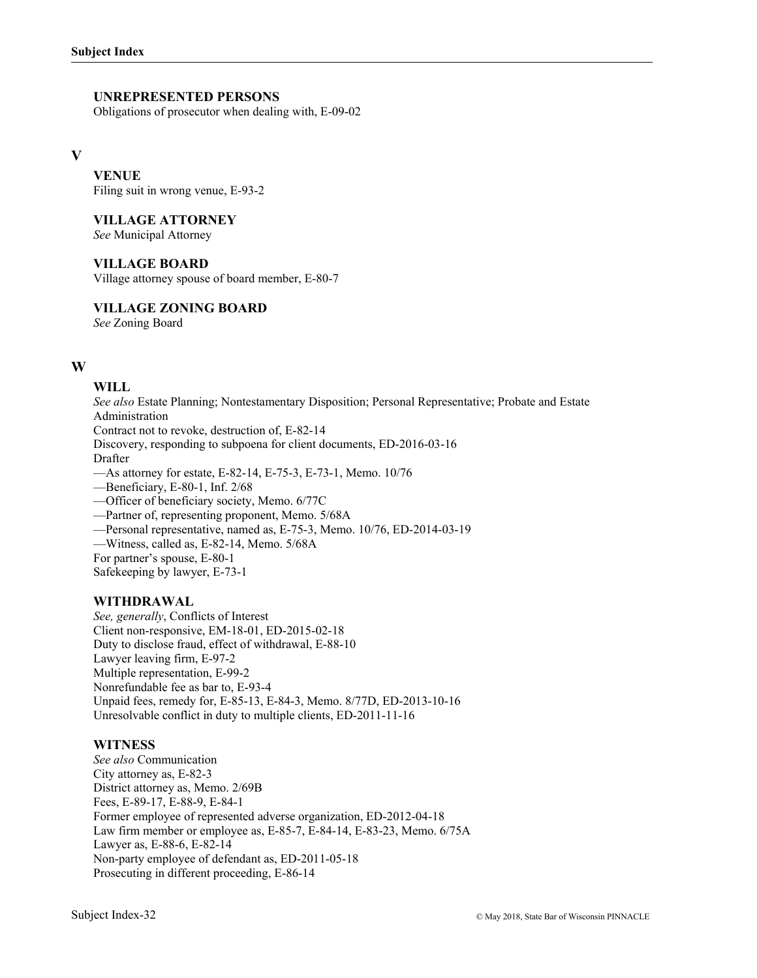### **UNREPRESENTED PERSONS**

Obligations of prosecutor when dealing with, E-09-02

#### **V**

**VENUE** Filing suit in wrong venue, E-93-2

**VILLAGE ATTORNEY** 

*See* Municipal Attorney

### **VILLAGE BOARD**

Village attorney spouse of board member, E-80-7

**VILLAGE ZONING BOARD** 

*See* Zoning Board

### **W**

# **WILL**

*See also* Estate Planning; Nontestamentary Disposition; Personal Representative; Probate and Estate Administration Contract not to revoke, destruction of, E-82-14 Discovery, responding to subpoena for client documents, ED-2016-03-16 Drafter —As attorney for estate, E-82-14, E-75-3, E-73-1, Memo. 10/76 —Beneficiary, E-80-1, Inf. 2/68 —Officer of beneficiary society, Memo. 6/77C —Partner of, representing proponent, Memo. 5/68A —Personal representative, named as, E-75-3, Memo. 10/76, ED-2014-03-19 —Witness, called as, E-82-14, Memo. 5/68A For partner's spouse, E-80-1

Safekeeping by lawyer, E-73-1

### **WITHDRAWAL**

*See, generally*, Conflicts of Interest Client non-responsive, EM-18-01, ED-2015-02-18 Duty to disclose fraud, effect of withdrawal, E-88-10 Lawyer leaving firm, E-97-2 Multiple representation, E-99-2 Nonrefundable fee as bar to, E-93-4 Unpaid fees, remedy for, E-85-13, E-84-3, Memo. 8/77D, ED-2013-10-16 Unresolvable conflict in duty to multiple clients, ED-2011-11-16

### **WITNESS**

*See also* Communication City attorney as, E-82-3 District attorney as, Memo. 2/69B Fees, E-89-17, E-88-9, E-84-1 Former employee of represented adverse organization, ED-2012-04-18 Law firm member or employee as, E-85-7, E-84-14, E-83-23, Memo. 6/75A Lawyer as, E-88-6, E-82-14 Non-party employee of defendant as, ED-2011-05-18 Prosecuting in different proceeding, E-86-14